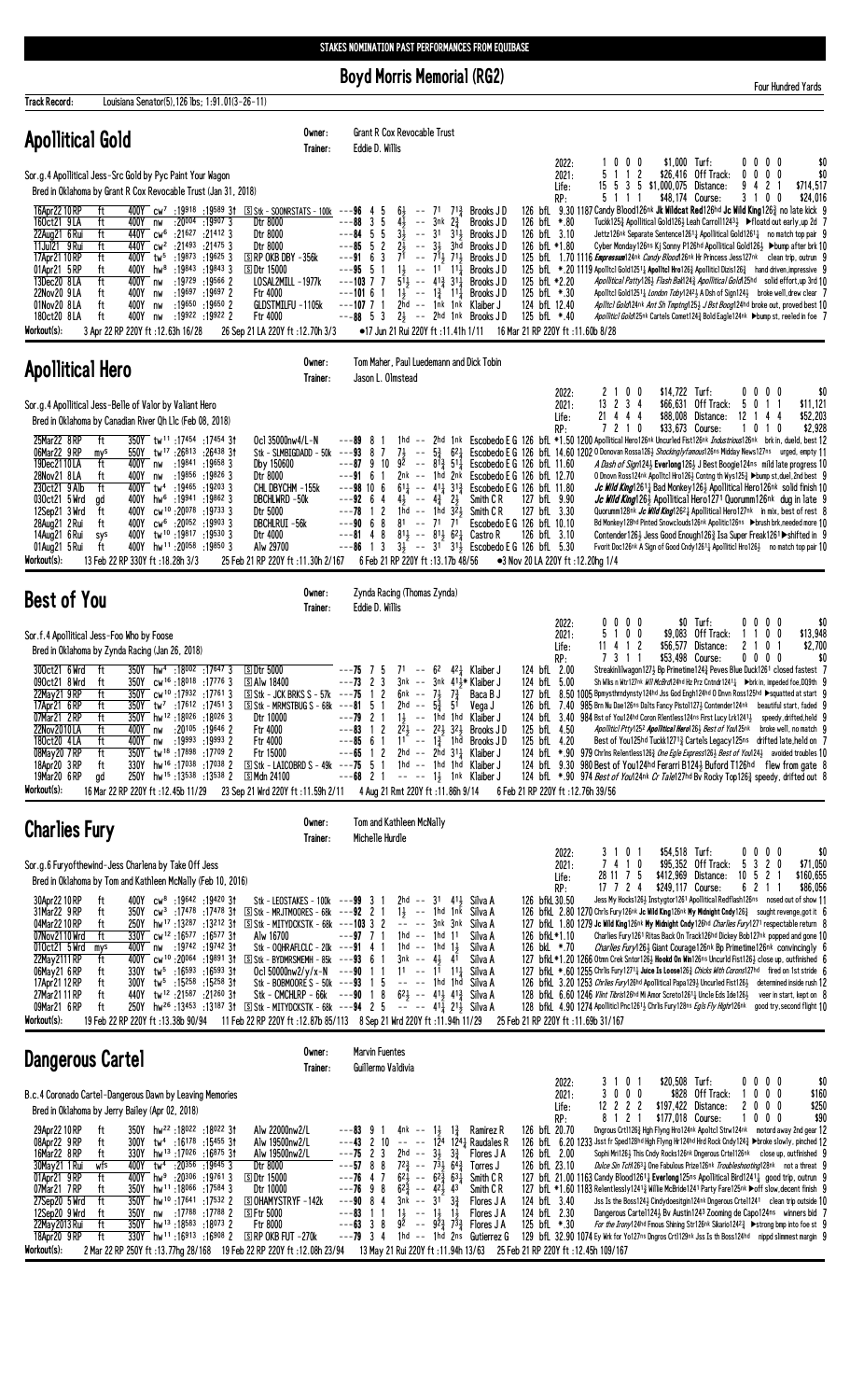**Boyd Morris Memorial (RG2)** 

Four Hundred Yards

| <b>Track Record:</b>                                                                                                                                                                                                                   |                                                                                                                                                                                                                          | Louisiana Senator(5), 126 lbs; 1:91.01(3-26-11)                                                                                                                                                                                                                                                                                                                  |                                                                                                                                                                                                                                                                                                                                                                                                                                                                                                                                                                                                 |                                                                                                                                                                                                                               |                                                                                                                                                                                                                                                                                                             |                                                                                                                                                                                                                                                                                                                                         |                                                                                                                                                                                                                                                                                                                                                                                                            |                                                                                                                                                                                                                                                                                                                                                                                                                                                                                                                                                                                                                                                                                                                                                                                                                                                                                     |                                                                                            |                  |                                                                                                                                                                                                                                                                                                                                                                                                                                                                                                                                                                                                                                                                                                       |
|----------------------------------------------------------------------------------------------------------------------------------------------------------------------------------------------------------------------------------------|--------------------------------------------------------------------------------------------------------------------------------------------------------------------------------------------------------------------------|------------------------------------------------------------------------------------------------------------------------------------------------------------------------------------------------------------------------------------------------------------------------------------------------------------------------------------------------------------------|-------------------------------------------------------------------------------------------------------------------------------------------------------------------------------------------------------------------------------------------------------------------------------------------------------------------------------------------------------------------------------------------------------------------------------------------------------------------------------------------------------------------------------------------------------------------------------------------------|-------------------------------------------------------------------------------------------------------------------------------------------------------------------------------------------------------------------------------|-------------------------------------------------------------------------------------------------------------------------------------------------------------------------------------------------------------------------------------------------------------------------------------------------------------|-----------------------------------------------------------------------------------------------------------------------------------------------------------------------------------------------------------------------------------------------------------------------------------------------------------------------------------------|------------------------------------------------------------------------------------------------------------------------------------------------------------------------------------------------------------------------------------------------------------------------------------------------------------------------------------------------------------------------------------------------------------|-------------------------------------------------------------------------------------------------------------------------------------------------------------------------------------------------------------------------------------------------------------------------------------------------------------------------------------------------------------------------------------------------------------------------------------------------------------------------------------------------------------------------------------------------------------------------------------------------------------------------------------------------------------------------------------------------------------------------------------------------------------------------------------------------------------------------------------------------------------------------------------|--------------------------------------------------------------------------------------------|------------------|-------------------------------------------------------------------------------------------------------------------------------------------------------------------------------------------------------------------------------------------------------------------------------------------------------------------------------------------------------------------------------------------------------------------------------------------------------------------------------------------------------------------------------------------------------------------------------------------------------------------------------------------------------------------------------------------------------|
| <b>Apollitical Gold</b>                                                                                                                                                                                                                |                                                                                                                                                                                                                          |                                                                                                                                                                                                                                                                                                                                                                  | Owner:<br>Trainer:                                                                                                                                                                                                                                                                                                                                                                                                                                                                                                                                                                              | Eddie D. Willis                                                                                                                                                                                                               | Grant R Cox Revocable Trust                                                                                                                                                                                                                                                                                 |                                                                                                                                                                                                                                                                                                                                         |                                                                                                                                                                                                                                                                                                                                                                                                            |                                                                                                                                                                                                                                                                                                                                                                                                                                                                                                                                                                                                                                                                                                                                                                                                                                                                                     |                                                                                            |                  |                                                                                                                                                                                                                                                                                                                                                                                                                                                                                                                                                                                                                                                                                                       |
| Sor.g.4 Apollitical Jess-Src Gold by Pyc Paint Your Wagon                                                                                                                                                                              | Bred in Oklahoma by Grant R Cox Revocable Trust (Jan 31, 2018)                                                                                                                                                           |                                                                                                                                                                                                                                                                                                                                                                  |                                                                                                                                                                                                                                                                                                                                                                                                                                                                                                                                                                                                 |                                                                                                                                                                                                                               |                                                                                                                                                                                                                                                                                                             |                                                                                                                                                                                                                                                                                                                                         | 2022:<br>2021:<br>Life:<br>RP:                                                                                                                                                                                                                                                                                                                                                                             | 1000<br>5<br>1 1 2<br>5 1 1 1                                                                                                                                                                                                                                                                                                                                                                                                                                                                                                                                                                                                                                                                                                                                                                                                                                                       | \$1,000 Turf:<br>\$26,416 Off Track:<br>15 5 3 5 \$1,000,075 Distance:<br>\$48,174 Course: | 94               | 0000<br>\$0<br>$0\ 0\ 0\ 0$<br>\$0<br>2 <sub>1</sub><br>\$714,517<br>3 1 0 0<br>\$24,016                                                                                                                                                                                                                                                                                                                                                                                                                                                                                                                                                                                                              |
| 16Apr22 10 RP<br>160ct21 9LA<br>22Aug21 6 Rui<br>11Jul21 9 Rui<br>17Apr21 10 RP<br>01Apr21 5RP<br>13Dec20 8LA<br>22Nov20 9LA<br>01Nov20 8LA<br>180ct20 8LA<br>Workout(s):                                                              | ft<br>ft<br>400Y<br>nw<br>ft<br>ft<br>ft<br>ft<br>400Y<br>hw <sup>8</sup><br>ft<br>400Y nw<br>400Y<br>ft<br>nw<br>ft<br>400Y<br>nw<br>ft<br>400Y<br>nw<br>3 Apr 22 RP 220Y ft: 12.63h 16/28                              | $: 20^{004} : 19^{907} 3$<br>440Y cw <sup>6</sup> :21627 :21412 3<br>440Y cw <sup>2</sup> :21493 :21475 3<br>400Y tw <sup>5</sup> :19873 :19625 3<br>:19843 :19843 3<br>:19729 :19566 2<br>:19697 :19697 2<br>$:19650$ $:19650$ 2<br>:19922 :19922 2                                                                                                             | 4 100Y cw <sup>7</sup> :19918 :19589 31 SStk - SOONRSTATS - 100k ---96 4 5<br>Dtr 8000<br>Dtr 8000<br>Dtr 8000<br>$S$ RP OKB DBY $-356k$<br>[S] Dtr 15000<br>LOSAL2MILL -1977k<br>Ftr 4000<br>GLDSTMILFU -1105k<br>Ftr 4000<br>26 Sep 21 LA 220Y ft: 12.70h 3/3                                                                                                                                                                                                                                                                                                                                 | $---88$ 3 5<br>$---84$ 5 5<br>$---85 5 2$<br>$--9163$<br>$--95$ 5 1<br>$---103$ 7 7<br>$---10161$<br>$---107$ 7 1                                                                                                             | $4\overline{1}$<br>$\sim$ $\sim$<br>$3nk$ $2\frac{3}{4}$<br>$3\overline{1}$<br>$2\bar{3}$<br>-- 31 3hd<br>$7^{\overline{1}}$ -- $7^{\overline{1}\frac{1}{2}}$ $7^{\overline{1}\frac{1}{2}}$<br>$1\frac{1}{2}$ -- $11^{\frac{1}{2}}$ $11\frac{1}{4}$<br>$5\overline{1}$ -- $41\overline{2}$ $31\overline{1}$ | $6\frac{1}{2}$ -- 7 <sup>1</sup> 7 <sup>1</sup> / <sub>2</sub> Brooks JD<br>Brooks J D<br>$-$ 31 $3^{11}$ Brooks JD<br>Brooks JD<br>Brooks J D<br>Brooks JD<br>Brooks J D<br>$1\frac{1}{2}$ -- $1\frac{3}{4}$ 1 <sup>1</sup> / <sub>4</sub> Brooks JD<br>2hd -- 1nk 1nk Klaiber J<br>$---88$ 5 3 $2\frac{1}{2}$ $---$ 2hd 1nk Brooks JD | 126 bfL *.80<br>126 bfL 3.10<br>126 bfL *1.80<br>125 bfL *2.20<br>125 bfL *.30<br>124 bfL 12.40<br>125 bfL *.40<br>●17 Jun 21 Rui 220Y ft: 11.41h 1/11 16 Mar 21 RP 220Y ft: 11.60b 8/28                                                                                                                                                                                                                   | 126 bfL 9.30 1187 Candy Blood126nk Jk Wildcat Red126hd Jc Wild King126 <sup>3</sup> no late kick 9<br>125 bfl. 1.70 1116 <i>Empressum</i> 124 <sup>nk</sup> <i>Candy Blood</i> 126 <sup>nk</sup> Hr Princess Jess127 <sup>nk</sup> clean trip, outrun 9<br>125 bfl. *.20 1119 Apolltcl Gold1251 <sup>1</sup> Apolltcl Hro126 <sup>3</sup> Apolliticl Dizis126 <sup>3</sup> hand driven, impressive 9                                                                                                                                                                                                                                                                                                                                                                                                                                                                                |                                                                                            |                  | Tuckk125½ Apollitical Gold126½ Leah Carroll1243½ ▶ floatd out early, up 2d 7<br>Jettz126nk Separate Sentence12611 Apollitical Gold12611 no match top pair 9<br>Cyber Monday126ns Kj Sonny P126hd Apollitical Gold126} ▶bump after brk 10<br>Apollitical Patty 1263 Flash Bak 1243 Apollitical Gold 125hd solid effort, up 3rd 10<br>Apolltcl Gold1251 <sub>4</sub> London Toby1242 <sub>2</sub> A Dsh of Sign124 <sub>2</sub> broke well, drew clear 7<br>Apiltcl Gold 24nk Ant Sh Tmptng125} J Bst Boog124hd broke out, proved best 10<br>Apolliticl Gold 25nk Cartels Comet1243 Bold Eagle124nk Dbump st, reeled in foe 7                                                                           |
| <b>Apollitical Hero</b>                                                                                                                                                                                                                |                                                                                                                                                                                                                          |                                                                                                                                                                                                                                                                                                                                                                  | Owner:<br>Trainer:                                                                                                                                                                                                                                                                                                                                                                                                                                                                                                                                                                              | Jason L. Olmstead                                                                                                                                                                                                             | Tom Maher, Paul Luedemann and Dick Tobin                                                                                                                                                                                                                                                                    |                                                                                                                                                                                                                                                                                                                                         |                                                                                                                                                                                                                                                                                                                                                                                                            |                                                                                                                                                                                                                                                                                                                                                                                                                                                                                                                                                                                                                                                                                                                                                                                                                                                                                     |                                                                                            |                  |                                                                                                                                                                                                                                                                                                                                                                                                                                                                                                                                                                                                                                                                                                       |
| Sor.g.4 Apollitical Jess-Belle of Valor by Valiant Hero                                                                                                                                                                                |                                                                                                                                                                                                                          |                                                                                                                                                                                                                                                                                                                                                                  |                                                                                                                                                                                                                                                                                                                                                                                                                                                                                                                                                                                                 |                                                                                                                                                                                                                               |                                                                                                                                                                                                                                                                                                             |                                                                                                                                                                                                                                                                                                                                         | 2022:<br>2021:<br>Life:                                                                                                                                                                                                                                                                                                                                                                                    | 2 1 0 0<br>13 2 3 4<br>21 4 4 4                                                                                                                                                                                                                                                                                                                                                                                                                                                                                                                                                                                                                                                                                                                                                                                                                                                     | \$14,722 Turf:<br>\$66,631 Off Track:<br>\$88,008 Distance:                                | 12               | \$0<br>$0\,0\,0\,0$<br>5 0 1 1<br>\$11,121<br>144<br>\$52,203                                                                                                                                                                                                                                                                                                                                                                                                                                                                                                                                                                                                                                         |
| 25Mar22 8RP<br>06Mar22 9RP<br>19Dec2110LA<br>28Nov21 8LA<br>230ct21 9 Alb<br>030ct21 5 Wrd<br>12Sep21 3 Wrd<br>28Aug21 2 Rui<br>14Aug21 6 Rui<br>01Aug21 5 Rui<br>Workout(s):                                                          | Bred in Oklahoma by Canadian River Qh L1c (Feb 08, 2018)<br>ft<br>mys<br>ft<br>400Y<br>ft<br>nw<br>ft<br>400Y hw <sup>6</sup><br>ad<br>ft<br>400Y<br>ft<br>400Y<br>400Y<br>sys<br>ft<br>13 Feb 22 RP 330Y ft: 18.28h 3/3 | 350Y tw <sup>11</sup> :17454 :17454 3t<br>550Y tw <sup>17</sup> :26813 :26438 31<br>400Y nw :19841 :19658 3<br>:19856 :19826 3<br>400Y tw <sup>4</sup> :19465 :19203 3<br>:19941 :19862 3<br>cw <sup>10</sup> :20078:197333<br>cw <sup>6</sup> :20052:199033<br>tw <sup>10</sup> :19817:195303<br>400Y hw <sup>11</sup> :20058 :19850 3                          | Ocl 35000nw4/L-N<br>Stk - SLMBIGDADD - 50k<br>Dby 150600<br>Dtr 8000<br>CHL DBYCHM -155k<br>DBCHLWRD -50k<br>Dtr 5000<br>DBCHLRUI -56k<br>Dtr 4000<br>Alw 29700<br>25 Feb 21 RP 220Y ft: 11.30h 2/167                                                                                                                                                                                                                                                                                                                                                                                           | $---89$ 8<br>$---93$ 8 7<br>$---87$ 9 10<br>$---916$<br>$\overline{1}$<br>$---98$ 10 6<br>$---92$ 6 4<br>$---78$ 1 2<br>$---90$ 6 8 81 $---71$ 71<br>$---81$ 4 8 $81\frac{1}{2}$ $---81\frac{1}{2}$ 62 $\frac{1}{4}$ Castro R | $7\frac{1}{2}$ --<br>$4\frac{1}{2}$ -- $4\frac{3}{4}$ $2\frac{1}{2}$<br>6 Feb 21 RP 220Y ft: 13.17b 48/56                                                                                                                                                                                                   | Smith C R<br>1hd $-$ 1hd $3\overline{2}3$ Smith CR                                                                                                                                                                                                                                                                                      | RP:<br>92 -- $8^{13}_{4}$ 5 <sup>1</sup> $14$ Escobedo E G 126 bfL 11.60<br>2nk -- 1hd 2nk Escobedo E G 126 bfL 12.70<br>$61\frac{1}{4}$ -- $41\frac{1}{4}$ $31\frac{3}{4}$ Escobedo E G 126 bfl 11.80<br>127 bfL 9.90<br>127 bfL 3.30<br>Escobedo E G 126 bfL 10.10<br>126 bfL 3.10<br>$---86$ 1 3 $3\frac{1}{2}$ $--- 31$ $31\frac{1}{2}$ Escobedo E G 126 bfl 5.30<br>•3 Nov 20 LA 220Y ft: 12.20hg 1/4 | 7 2 1 0<br>1hd -- 2hd 1nk Escobedo E G 126 bfL *1.50 1200 Apollitical Hero126nk Uncurled Fist126nk Industrious126nk brk in, dueld, best 12<br>5 <sup>3</sup> 62 <sup>1</sup> Escobedo E G 126 bfl. 14.60 1202 0 Donovan Rossa126 <sup>1</sup> Shockingly famous126ns Midday News127ns urged, empty 11                                                                                                                                                                                                                                                                                                                                                                                                                                                                                                                                                                               | \$33,673 Course:                                                                           |                  | \$2,928<br>0 1 0<br>A Dash of Sign124} Everlong126} J Best Boogie124ns mild late progress 10<br>O Dnovn Ross124nk Apolltcl Hro126} Contng th Wys125} ▶bump st, duel, 2nd best 9<br><i>Jc Wild King</i> 1261 <sub>4</sub> Bad Monkey 126 <sub>3</sub> Apollitical Hero 126nk solid finish 10<br>Jc Wild King126} Apollitical Hero1271 Quorumm126nk dug in late 9<br>Quorumm128nk <i>Jc Wild King</i> 12621 Apollitical Hero127nk in mix, best of rest 8<br>Bd Monkey128hd Pinted Snowclouds126nk Apolitic126ns >brush brk, needed more 10<br>Contender126} Jess Good Enough126} Isa Super Freak1261 ▶ shifted in 9<br>Fvorit Doc126nk A Sign of Good Cndy12611 Apollitic1 Hro1261 no match top pair 10 |
| <b>Best of You</b>                                                                                                                                                                                                                     |                                                                                                                                                                                                                          |                                                                                                                                                                                                                                                                                                                                                                  | Owner:<br>Trainer:                                                                                                                                                                                                                                                                                                                                                                                                                                                                                                                                                                              | Eddie D. Willis                                                                                                                                                                                                               | Zynda Racing (Thomas Zynda)                                                                                                                                                                                                                                                                                 |                                                                                                                                                                                                                                                                                                                                         |                                                                                                                                                                                                                                                                                                                                                                                                            |                                                                                                                                                                                                                                                                                                                                                                                                                                                                                                                                                                                                                                                                                                                                                                                                                                                                                     |                                                                                            |                  |                                                                                                                                                                                                                                                                                                                                                                                                                                                                                                                                                                                                                                                                                                       |
| Sor.f.4 Apollitical Jess-Foo Who by Foose                                                                                                                                                                                              | Bred in Oklahoma by Zynda Racing (Jan 26, 2018)                                                                                                                                                                          |                                                                                                                                                                                                                                                                                                                                                                  |                                                                                                                                                                                                                                                                                                                                                                                                                                                                                                                                                                                                 |                                                                                                                                                                                                                               |                                                                                                                                                                                                                                                                                                             |                                                                                                                                                                                                                                                                                                                                         | 2022:<br>2021:<br>Life:                                                                                                                                                                                                                                                                                                                                                                                    | 0 0 0 0<br>5 1 0 0<br>11 4 1 2                                                                                                                                                                                                                                                                                                                                                                                                                                                                                                                                                                                                                                                                                                                                                                                                                                                      | \$0 Turf:<br>\$9,083 Off Track:<br>$$56,577$ Distance:                                     | -1<br>21         | 0000<br>\$0<br>100<br>\$13,948<br>\$2,700<br>0 <sub>1</sub>                                                                                                                                                                                                                                                                                                                                                                                                                                                                                                                                                                                                                                           |
| 300ct21 6 Wrd<br>090ct21 8 Wrd<br>22May21 9RP<br>17Apr21 6 RP<br>07Mar21 2RP<br>22Nov2010LA<br>180ct20 4LA<br>08May20 7 RP<br>18Apr20 3 RP<br>19Mar20 6 RP<br>Workout(s):                                                              | ft<br>ft<br>ft<br>ft<br>ft<br>ft<br>400Y nw<br>ft<br>400Y nw<br>ft<br>ft<br>gd<br>16 Mar 22 RP 220Y ft: 12.45b 11/29                                                                                                     | 350Y hw <sup>4</sup> :18002 :17647 3<br>350Y cw <sup>16</sup> :18018:177763<br>350Y cw <sup>10</sup> :17932:177613<br>$350Y$ tw <sup>7</sup> :17612 :17451 3<br>350Y hw <sup>12</sup> :18026:180263<br>:20105 :19646 2<br>:19993 :19993 2<br>350Y tw <sup>18</sup> :17898:17709 2<br>330Y hw <sup>16</sup> :17038:170382<br>250Y hw <sup>15</sup> :13538:13538 2 | <b>SDtr 5000</b><br><b>SAlw 18400</b><br>Dtr 10000<br><b>Ftr 4000</b><br>Ftr 4000<br>Ftr 15000<br>$\boxed{5}$ Stk - LAICOBRD S - 49k ---75 5 1 1hd -- 1hd 1hd Klaiber J<br>$\mathbb{S}$ Mdn 24100<br>23 Sep 21 Wrd 220Y ft:11.59h 2/11 4 Aug 21 Rmt 220Y ft:11.86h 9/14                                                                                                                                                                                                                                                                                                                         | $--75$ 7 5<br>$---73$ 2 3<br>$---79$ 2 1 1<br>$---65$ 1 2 2hd $---2$ 2hd 311 Klaiber J<br>$---68$ 2 1 $---$ 1} 1nk Klaiber J                                                                                                  | $71 - - 62$ 42 Klaiber J<br>$3nk$ -- $3nk$ $41\frac{1}{2}*$ Klaiber J                                                                                                                                                                                                                                       | Baca B J<br>Vega J<br>-- 1hd 1hd Klaiber J<br>$--83$ 1 2 $2\overline{24}$ $- 22\overline{4}$ $32\overline{4}$ Brooks JD<br>$---85$ 6 1 1 <sup>1</sup> $---13$ 1hd Brooks JD                                                                                                                                                             | RP:<br>124 bfL 2.00<br>124 bfL 5.00<br>125 bfL 4.50<br>125 bfL 4.20<br>6 Feb 21 RP 220Y ft : 12.76h 39/56                                                                                                                                                                                                                                                                                                  | 7311<br>127 bfL 8.50 1005 Bpmysthrndynsty124hd Jss God Engh124hd 0 Dnvn Ross125hd Squatted at start 9<br>126 bfL 7.40 985 Brn Nu Dae126ns Dalts Fancy Pistol1273 Contender124nk beautiful start, faded 9<br>124 bfl 3.40 984 Bst of You124hd Coron Rientless124ns First Lucy Lrk12413 speedy, drifted, held 9<br>124 bfL *.90 979 Chrlns Relentless1263 One Egle Express1263 Best of You1243 avoided troubles 10<br>124 bfL 9.30 980 Best of You124hd Ferarri B1243 Buford T126hd flew from gate 8<br>124 bfL *.90 974 Best of You124nk Cr Tale127hd By Rocky Top126 <sup>3</sup> speedy, drifted out 8                                                                                                                                                                                                                                                                             | \$53,498 Course:                                                                           |                  | $0\ 0\ 0\ 0$<br>\$0<br>Streakinlilwagon1273 Bp Primetime1243 Peves Blue Duck1261 closed fastest 7<br>Sh Wiks n Wtr127nk Wil McBrd124hd Hz Prz Cntndr1241 <sub>4</sub> ▶brk in, impeded foe, DQ9th 9<br>Apolliticl Ptty1252 Apollitical Hero1263 Best of You125nk broke well, no match 9<br>Best of You125hd Tuckk12713 Cartels Legacy125ns drifted late, held on 7                                                                                                                                                                                                                                                                                                                                    |
| <b>Charlies Fury</b>                                                                                                                                                                                                                   |                                                                                                                                                                                                                          |                                                                                                                                                                                                                                                                                                                                                                  | Owner:<br>Trainer:                                                                                                                                                                                                                                                                                                                                                                                                                                                                                                                                                                              | Michelle Hurdle                                                                                                                                                                                                               | Tom and Kathleen McNally                                                                                                                                                                                                                                                                                    |                                                                                                                                                                                                                                                                                                                                         |                                                                                                                                                                                                                                                                                                                                                                                                            |                                                                                                                                                                                                                                                                                                                                                                                                                                                                                                                                                                                                                                                                                                                                                                                                                                                                                     |                                                                                            |                  |                                                                                                                                                                                                                                                                                                                                                                                                                                                                                                                                                                                                                                                                                                       |
| Sor.g.6 Furyofthewind-Jess Charlena by Take Off Jess<br>30Apr22 10 RP<br>31Mar22 9 RP<br>04Mar2210RP<br>07Nov2110 Wrd<br>010ct21 5 Wrd<br>22May 2111 RP<br>06May21 6RP<br>17Apr21 12 RP<br>27Mar21 11 RP<br>09Mar21 6RP<br>Workout(s): | Bred in Oklahoma by Tom and Kathleen McNally (Feb 10, 2016)<br>ft<br>ft<br>ft<br>ft<br>mys<br>ft<br>ft<br>ft<br>ft<br>ft<br>19 Feb 22 RP 220Y ft: 13.38b 90/94                                                           | 400Y $cw^8$ :19642 :19420 31<br>250Y hw <sup>17</sup> :13 <sup>287</sup> :13 <sup>212</sup> 31<br>330Y cw <sup>12</sup> :16577:1657731<br>400Y nw :19742 :19742 31<br>$330Y$ tw <sup>5</sup> :16 <sup>593</sup> :16 <sup>593</sup> 31<br>300Y tw <sup>5</sup> :15 <sup>258</sup> :15 <sup>258</sup> 31<br>440Y tw <sup>12</sup> :21587 :21260 31                 | Stk - LEOSTAKES - 100k --- $99 \quad 3 \quad 1$<br>350Y cw <sup>3</sup> :17478:1747831 SStk-MRJTMOORES-68k ---92 2 1<br>S Stk - MITYDCKSTK - 68k ---103 3 2<br>Alw 16700<br>Stk - OQHRAFLCLC - 20k ---91 4 1<br>400Y cw <sup>10</sup> :20064:1989131 SStk-BYDMRSMEMH-85k ---93 6 1<br>Ocl 50000nw2/y/x-N $--90$ 1 1<br>Stk - BOBMOORE S - 50k --- $93$ 1 5<br>Stk - CMCHLRP - $66k$ --- $90$ 1 8<br>250Y $hw^{26}$ :13453 :13187 31 SStk - MITYDCKSTK - 68k ---94 2 5 -- -- 41 $\frac{1}{4}$ 21 $\frac{1}{2}$ Silva A<br>11 Feb 22 RP 220Y ft: 12.87b 85/113 8 Sep 21 Wrd 220Y ft: 11.94h 11/29 | $---97$ 7 1                                                                                                                                                                                                                   | 2hd -- 31 411 Silva A<br>$1\frac{1}{2}$ -- 1hd 1nk Silva A<br>-- -- 3nk 3nk Silva A<br>1hd -- 1hd 11<br>1hd -- 1hd 1 $\frac{1}{2}$<br>$3nk$ -- $4\frac{1}{2}$ $41$<br>$11$ -- $11$ $11\frac{1}{4}$ Silva A<br>-- -- 1hd 1hd Silva A<br>$62\frac{1}{2}$ -- $41\frac{1}{2}$ $41\frac{3}{4}$ Silva A           | Silva A<br>Silva A<br>Silva A                                                                                                                                                                                                                                                                                                           | 2022:<br>2021:<br>Life:<br>RP:<br>126 bfkL 30.50<br>126 bfkL*1.10<br>126 bkL *.70<br>25 Feb 21 RP 220Y ft: 11.69b 31/167                                                                                                                                                                                                                                                                                   | 3 1 0 1<br>7 4 1 0<br>28 11 7 5<br>17 7 2 4<br>126 bfkl. 2.80 1270 Chrls Fury126nk Jc Wild King126nk My Midnight Cndy126 <sup>3</sup> sought revenge, got it 6<br>127 bfkl 1.80 1279 Jc Wild King126nk My Midnight Cndy126hd Charlies Fury1271 respectable return 8<br>127 bfkL *1.20 1266 Otmn Crek Sntor126½ Hookd On Win126ns Uncurld Fist126½ close up, outfinished 6<br>127 bfkl *.60 1255 Chrlis Fury 1271 <sub>4</sub> Juice Is Loose126 <sub>2</sub> Chicks With Corons127hd fired on 1st stride 6<br>126 bfkl 3.20 1253 <i>Chriles Fury</i> 126hd Apollitical Papa 1293 Uncurled Fist 1263 determined inside rush 12<br>128 bfkl 6.60 1246 Viint Tibris126hd Mi Amor Screto1261 <sub>4</sub> Uncle Eds Ide126 <sub>2</sub> veer in start, kept on 8<br>128 bfkl. 4.90 1274 Apolliticl Pnc1261 <sup>1</sup> Chrlis Fury128ns Egls Fly Highr126nk good try, second flight 10 | \$54,518 Turf:<br>\$95,352 Off Track:<br>\$412,969 Distance:<br>\$249,117 Course:          | $10 \t5 \t2 \t1$ | \$0<br>$0\,0\,0\,0$<br>5 3 2 0<br>\$71,050<br>\$160,655<br>6 2 1 1<br>\$86,056<br>Jess My Hocks126} Instygtor1261 Apollitical Redflash126ns nosed out of show 11<br>Charlies Fury1261 Ritas Back On Track126hd Dickey Bob127nk popped and gone 10<br><i>Charlies Fury</i> 1264 Giant Courage 126 <sup>nk</sup> Bp Primetime 126 <sup>nk</sup> convincingly 6                                                                                                                                                                                                                                                                                                                                          |
| <b>Dangerous Cartel</b>                                                                                                                                                                                                                |                                                                                                                                                                                                                          |                                                                                                                                                                                                                                                                                                                                                                  | Owner:<br>Trainer:                                                                                                                                                                                                                                                                                                                                                                                                                                                                                                                                                                              | <b>Marvin Fuentes</b><br>Guillermo Valdivia                                                                                                                                                                                   |                                                                                                                                                                                                                                                                                                             |                                                                                                                                                                                                                                                                                                                                         |                                                                                                                                                                                                                                                                                                                                                                                                            |                                                                                                                                                                                                                                                                                                                                                                                                                                                                                                                                                                                                                                                                                                                                                                                                                                                                                     |                                                                                            |                  |                                                                                                                                                                                                                                                                                                                                                                                                                                                                                                                                                                                                                                                                                                       |
| B.c.4 Coronado Cartel-Dangerous Dawn by Leaving Memories                                                                                                                                                                               | Bred in Oklahoma by Jerry Bailey (Apr 02, 2018)                                                                                                                                                                          |                                                                                                                                                                                                                                                                                                                                                                  |                                                                                                                                                                                                                                                                                                                                                                                                                                                                                                                                                                                                 |                                                                                                                                                                                                                               |                                                                                                                                                                                                                                                                                                             |                                                                                                                                                                                                                                                                                                                                         | 2022:<br>2021:<br>Life:<br>RP:                                                                                                                                                                                                                                                                                                                                                                             | 3 1 0 1<br>3 0 0 0<br>$12$ 2 2 2<br>121<br>8                                                                                                                                                                                                                                                                                                                                                                                                                                                                                                                                                                                                                                                                                                                                                                                                                                        | \$20,508 Turf:<br>\$828 Off Track:<br>\$197,422 Distance:<br>\$177,018 Course:             |                  | $0\,0\,0\,0$<br>\$0<br>$0\,$ $0\,$ $0\,$<br>\$160<br>\$250<br>2000<br>\$90<br>$0\,$ $0\,$ $0\,$                                                                                                                                                                                                                                                                                                                                                                                                                                                                                                                                                                                                       |
| 29Apr22 10 RP<br>08Apr22 9RP<br>16Mar22 8RP<br>30May21 1 Rui<br>01Apr21 9RP<br>07Mar21 7RP<br>27Sep20 5 Wrd                                                                                                                            | ft<br>ft<br>ft<br>wfs<br>400Y<br>ft<br>ft<br>ft<br>350Y                                                                                                                                                                  | 350Y hw <sup>22</sup> :18022:1802231<br>300Y tw <sup>4</sup> :16178 :15455 31<br>330Y hw <sup>13</sup> :17026:1687531<br>tw <sup>4</sup> :20 <sup>356</sup> :19645 3<br>400Y $hw^9$ :20306 :19761 3<br>350Y hw <sup>11</sup> :18066 :17584 3<br>hw <sup>10</sup> :17641:17532 2                                                                                  | Alw 22000nw2/L<br>Alw 19500nw2/L<br>Alw 19500nw2/L<br>Dtr 8000<br><b>SDtr 15000</b><br>Dtr 10000<br><b>SOHAMYSTRYF-142k</b>                                                                                                                                                                                                                                                                                                                                                                                                                                                                     | $---83$ 9 1<br>$---75$ 2 3<br>$---57$ 8 8<br>$--76$ 4 7<br>$---76$ 9 8<br>$---90$ 8 4                                                                                                                                         | 2hd -- $3\frac{1}{2}$ $3\frac{3}{4}$<br>$7^{2}\frac{3}{4}$ -- $7^{3}\frac{1}{2}$ 6 <sup>4</sup> $\frac{3}{4}$ Torres J<br>$62\frac{1}{2}$ -- $62\frac{3}{4}$ $63\frac{1}{4}$<br>$62\frac{3}{4}$ -- $42\frac{1}{2}$ 43<br>$3nk - 31$                                                                         | 4nk -- 1 $\frac{1}{2}$ 1 $\frac{3}{4}$ Ramirez R<br>$---43$ 2 10 $---$ 124 124 Raudales R<br>Flores J A<br>Smith C R<br>Smith C <sub>R</sub><br>$3\frac{3}{7}$<br>Flores J A                                                                                                                                                            | 126 bfL 20.70<br>126 bfL 2.00<br>126 bfL 23.10<br>124 bfL 3.40                                                                                                                                                                                                                                                                                                                                             | 126 bfL 6.20 1233 Jsst fr Sped128hd Hgh Flyng Hr124hd Hrd Rock Cndy124½ ▶broke slowly, pinched 12<br>127 bfl. 21.00 1163 Candy Blood1261; Everlong125ns Apollitical Bird1241; good trip. outrun 9<br>127 bfL *1.60 1183 Relentlessly12413 Willie McBride1241 Party Fare125nk ▶off slow, decent finish 9                                                                                                                                                                                                                                                                                                                                                                                                                                                                                                                                                                             |                                                                                            |                  | Dngrous Crt11263 Hgh Flyng Hro124nk Apoltcl Strw124nk motord away 2nd gear 12<br>Sophi Mri126} This Cndy Rocks126nk Dngerous Crte1126nk close up, outfinished 9<br>Dulce Sin Tch12631 One Fabulous Prize126nk Troubleshooting128nk not a threat 9<br>Jss Is the Boss1243 Cindydoesitgin124 <sup>nk</sup> Dngerous Crtel1241 clean trip outside 10                                                                                                                                                                                                                                                                                                                                                     |

 $-83$  1 1  $1\frac{1}{2}$  -  $-1\frac{1}{2}$  Flores JA 124 bft. 2.30 Dangerous Cartel124 Bv Austin1243 Zooming de Capo124ns winners bid 7<br>  $-$ -53 3 8 92 - 923 733 Flores JA 125 bft.  $\ast$ .30 *For the Irony* 124th 4 mous Strint243 Zo  $\begin{array}{ccccccccc}\n & 350Y & \text{hw} & :17788 & :17788 & 2 & 69 \text{WW} & :1768 \\
\hline\n & 350Y & \text{hw} & :18583 & :18073 & 2 & \text{Ftr } 5000 \\
\hline\n & 350Y & \text{hw} & :18583 & :18073 & 2 & \text{Ftr } 8000 \\
\hline\n & 330Y & \text{hw} & :16913 & :16908 & 2 & 69 \text{WBF} & 0 \text{WBF} & -270 \text{k}\n\end{array}$ 12Sep20 9 Wrd ft<br>22May2013 Rui ft<br>18Apr20 9 RP ft 2 Mar 22 RP 250Y ft:13.77hg 28/168 19 Feb 22 RP 220Y ft:12.08h 23/94 13 May 21 Rui 220Y ft:11.94h 13/63 25 Feb 21 RP 220Y ft:12.45h 109/167

Workout(s):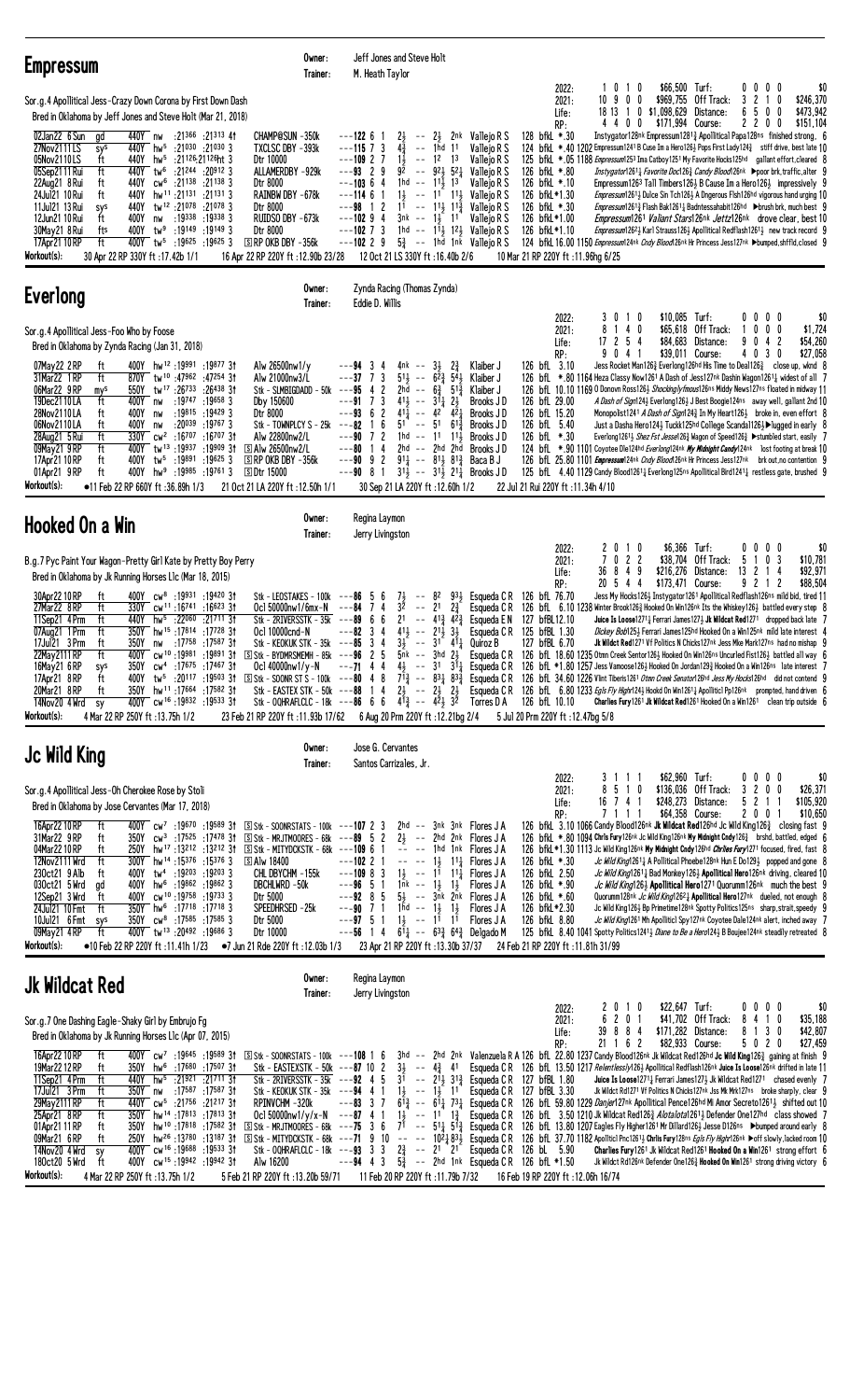| <b>Empressum</b>                                                                                                                                                                                                                                                                                                                                                                                                                                                                                                                                                                                                                                                                                                                                                                                                                                                                                                                                                                                                                                                                                                                                                                                                                                                                                                                                                                                           | Owner:<br>Trainer: | M. Heath Taylor                                                                                                                                    | Jeff Jones and Steve Holt                                                                                                                                                                                                                                                                                                                                                                                                                                                                                                                                                                                                                                                                                                                                                                                                                                                                                                                                                                                                                                                                                                                                                                                                                                                                                                                                                                                                                                                                                                                |                                                                                                        |                                                                                                                                                                                             |                                            |                                                                                                                                                                                                                                                                                                                                                                                                                                                                                                                                                                                                                                                                                                                                                                                                                                                                                                                                                                                                                                                                                                                                                       |                                                                                   |                                                                 |                                            |
|------------------------------------------------------------------------------------------------------------------------------------------------------------------------------------------------------------------------------------------------------------------------------------------------------------------------------------------------------------------------------------------------------------------------------------------------------------------------------------------------------------------------------------------------------------------------------------------------------------------------------------------------------------------------------------------------------------------------------------------------------------------------------------------------------------------------------------------------------------------------------------------------------------------------------------------------------------------------------------------------------------------------------------------------------------------------------------------------------------------------------------------------------------------------------------------------------------------------------------------------------------------------------------------------------------------------------------------------------------------------------------------------------------|--------------------|----------------------------------------------------------------------------------------------------------------------------------------------------|------------------------------------------------------------------------------------------------------------------------------------------------------------------------------------------------------------------------------------------------------------------------------------------------------------------------------------------------------------------------------------------------------------------------------------------------------------------------------------------------------------------------------------------------------------------------------------------------------------------------------------------------------------------------------------------------------------------------------------------------------------------------------------------------------------------------------------------------------------------------------------------------------------------------------------------------------------------------------------------------------------------------------------------------------------------------------------------------------------------------------------------------------------------------------------------------------------------------------------------------------------------------------------------------------------------------------------------------------------------------------------------------------------------------------------------------------------------------------------------------------------------------------------------|--------------------------------------------------------------------------------------------------------|---------------------------------------------------------------------------------------------------------------------------------------------------------------------------------------------|--------------------------------------------|-------------------------------------------------------------------------------------------------------------------------------------------------------------------------------------------------------------------------------------------------------------------------------------------------------------------------------------------------------------------------------------------------------------------------------------------------------------------------------------------------------------------------------------------------------------------------------------------------------------------------------------------------------------------------------------------------------------------------------------------------------------------------------------------------------------------------------------------------------------------------------------------------------------------------------------------------------------------------------------------------------------------------------------------------------------------------------------------------------------------------------------------------------|-----------------------------------------------------------------------------------|-----------------------------------------------------------------|--------------------------------------------|
| Sor.g.4 Apollitical Jess-Crazy Down Corona by First Down Dash<br>Bred in Oklahoma by Jeff Jones and Steve Holt (Mar 21, 2018)<br>440Y nw<br>:21366 :21313 41<br>CHAMP@SUN -350k<br>02Jan22 6 Sun gd<br>TXCLSC DBY -393k<br>440Y hw <sup>5</sup> :21030 :21030 3<br>27Nov2111LS<br>sys<br>05Nov2110LS<br>440Y<br>hw <sup>5</sup> :21126:21126ht 3<br>Dtr 10000<br>ft<br>440Y tw <sup>6</sup> :21244 :20912 3<br>ALLAMERDBY -929k<br>05Sep2111 Rui<br>ft<br>440Y<br>$cw6$ :21138 :21138 3<br>22Aug21 8 Rui<br>ft<br>Dtr 8000<br>24Jul21 10 Rui<br>440Y<br>hw <sup>11</sup> :21 <sup>131</sup> :21 <sup>131</sup> 3<br>RAINBW DBY -678k<br>ft<br>11Jul21 13 Rui<br>tw <sup>12</sup> :21 <sup>078</sup> :21 <sup>078</sup> 3<br>440Y<br>sys<br>Dtr 8000<br>12Jun21 10 Rui<br>400Y<br>:19338 :19338 3<br>ft<br>RUIDSO DBY -673k<br>nw<br>30May21 8 Rui<br>400Y<br>tw <sup>9</sup> :19149:191493<br>Dtr 8000<br>fts<br>17Apr21 10 RP<br>$400Y$ tw <sup>5</sup> :19625 :19625 3<br>$S$ RP OKB DBY $-356k$<br>ft<br>Workout(s):<br>30 Apr 22 RP 330Y ft: 17.42b 1/1<br>16 Apr 22 RP 220Y ft: 12.90b 23/28                                                                                                                                                                                                                                                                                                          |                    | ---122 6 1<br>$---115$ 7 3<br>$---109$ 2 7<br>$---93$ 2 9<br>$---10364$<br>$---11461$<br>$---98$ 1 2<br>$---10294$<br>$---102$ 7 3<br>$---102$ 2 9 | 2}<br>$-- 2\frac{1}{2}$ 2nk Vallejo R S<br>$4\frac{3}{4}$<br>-- 1hd 11<br>$1\frac{1}{2}$<br>$--$ 12<br>1 <sup>3</sup><br>$9\bar{2}$ -- $92\bar{1}$ 52 $\bar{1}$ Vallejo R S<br>1hd -- $11\frac{1}{2}$ 13<br>$1\frac{1}{2}$ -- 11 11 Vallejo R S<br>$1^{\frac{2}{3}}$ -- $1^{\frac{1}{3}}$ $1^{\frac{5}{4}}$<br>3nk -- 1, 11<br>1hd -- $1^{\overline{1}\frac{1}{2}}$ 1 <sup>2</sup> / <sub>2</sub> Vallejo R S<br>$5\frac{3}{4}$ -- 1hd 1nk Vallejo R S<br>12 Oct 21 LS 330Y ft: 16.40b 2/6                                                                                                                                                                                                                                                                                                                                                                                                                                                                                                                                                                                                                                                                                                                                                                                                                                                                                                                                                                                                                                               | Valleio R S<br>Vallejo R S<br>Vallejo R S<br>Vallejo R S<br>Vallejo R S                                | 2022:<br>2021:<br>Life:<br>RP:<br>128 bfkL *.30<br>126 bfkL *.80<br>126 bfkL *.10<br>126 bfkL*1.30<br>126 bfkL *.30<br>126 bfkL*1.00<br>126 bfkL*1.10<br>10 Mar 21 RP 220Y ft: 11.96hg 6/25 | 1010<br>10 9 0 0                           | 18 13 1 0 \$1,098,629 Distance:<br>4 4 0 0 \$171,994 Course:<br>Instygator128nk Empressum12813 Apollitical Papa128ns finished strong, 6<br>124 bfkL *.40 1202 Empressum 1241 B Cuse Im a Hero126½ Pops First Lady 124 $\frac{3}{4}$ stiff drive, best late 10<br>125 bfkL *.05 1188 Empressum1253 Ima Catboy1251 My Favorite Hocks125hd gallant effort, cleared 8<br>Instygator12611 Favorite Doc1263 Candy Blood126nk Ppoor brk, traffic, alter 9<br>Empressum1263 Tall Timbers126 $\frac{1}{2}$ B Cause Im a Hero126 $\frac{1}{2}$ impressively 9<br><i>Empressum</i> 1261 <sub>2</sub> Dulce Sin Tch126 <sub>2</sub> A Dngerous Flsh126hd vigorous hand urging 10<br><i>Empressum</i> 1261 <sub>3</sub> Flash Bak1261 <sub>4</sub> Badntessahabit126hd → brush brk, much best 9<br><i>Empressum</i> 1261 <i>Valiant Stars</i> 126 <sup>nk</sup> <i>Jettz</i> 126 <sup>nk</sup> drove clear, best 10<br><i>Empressum</i> 126 <sup>2</sup> } Karl Strauss126 <sup>1</sup> Apollitical Redflash126 <sup>1</sup> <sup>1</sup> new track record 9<br>124 bfkl 16.00 1150 Empressum124nk Cndy Blood126nk Hr Princess Jess127nk >bumped, shffld, closed 9 | \$66,500 Turf:<br>\$969,755 Off Track:                                            | $0\ 0\ 0\ 0$<br>3 2 1 0<br>50<br>6<br>0<br>2200                 | \$0<br>\$246,370<br>\$473.942<br>\$151.104 |
| <b>Everlong</b>                                                                                                                                                                                                                                                                                                                                                                                                                                                                                                                                                                                                                                                                                                                                                                                                                                                                                                                                                                                                                                                                                                                                                                                                                                                                                                                                                                                            | Owner:<br>Trainer: | Eddie D. Willis                                                                                                                                    | Zynda Racing (Thomas Zynda)                                                                                                                                                                                                                                                                                                                                                                                                                                                                                                                                                                                                                                                                                                                                                                                                                                                                                                                                                                                                                                                                                                                                                                                                                                                                                                                                                                                                                                                                                                              |                                                                                                        |                                                                                                                                                                                             |                                            |                                                                                                                                                                                                                                                                                                                                                                                                                                                                                                                                                                                                                                                                                                                                                                                                                                                                                                                                                                                                                                                                                                                                                       |                                                                                   |                                                                 |                                            |
| Sor.g.4 Apollitical Jess-Foo Who by Foose<br>Bred in Oklahoma by Zynda Racing (Jan 31, 2018)<br>07May22 2RP<br>400Y hw <sup>12</sup> :19991:1987731<br>Alw 26500nw1/y<br>ft<br>31Mar22 1 RP<br>870Y tw <sup>10</sup> :47962:4725431<br>Alw 21000nw3/L<br>ft<br>tw <sup>17</sup> :26 <sup>733</sup> :26 <sup>438</sup> 31<br>06Mar22 9RP<br>550Y<br>Stk - SLMBIGDADD - 50k $--95$ 4 2<br>mys<br>19Dec2110LA<br>400Y<br>:19747 :19658 3<br>Dby 150600<br>ft<br>nw<br>28Nov2110LA<br>400Y<br>:19815 :19429 3<br>ft<br>Dtr 8000<br>nw<br>:20 <sup>039</sup> :19 <sup>767</sup> 3<br>06Nov2110LA<br>ft<br>400Y<br>Stk - TOWNPLCY S - 25 $k$ ---82 1<br>nw<br>ft<br>330Y<br>cw <sup>2</sup> :16 <sup>707</sup> :16 <sup>707</sup> 31<br>Alw 22800nw2/L<br>28Aug21 5 Rui<br>400Y tw <sup>13</sup> :19937<br>09May21 9 RP<br>ft<br>:19909 3†<br>ි Alw 26500nw2/L<br>17Apr21 10 RP<br>400Y<br>tw5<br>:19891 :19625 3<br>$S$ RP OKB DBY $-356k$<br>ft<br>01Apr21 9RP<br>ft<br>400Y hw <sup>9</sup> :19985 :19761 3<br><b>SDtr 15000</b><br>Workout(s):<br>●11 Feb 22 RP 660Y ft :36.89h 1/3<br>21 Oct 21 LA 220Y ft: 12.50h 1/1                                                                                                                                                                                                                                                                                      |                    | $---94$ 3<br>4<br>$--37$ 7 3<br>$---917$<br>3<br>$---93$ 6 2<br>6<br>$---90$ 7 2<br>$---80$ 14                                                     | 4nk -- $3\frac{1}{2}$<br>$2\frac{3}{4}$<br>$51\frac{1}{2}$ -- $62\frac{3}{2}$ 54 $\frac{1}{2}$<br>2hd -- $6\frac{3}{4}$ 51 $\frac{3}{4}$<br>$41\frac{1}{2}$ -- $31\frac{1}{4}$ $2\frac{1}{2}$<br>$41\frac{1}{4}$ -- $42$ $42\frac{1}{4}$<br>$5^{1}$ -- $5^{1}$ $6^{1\frac{3}{4}}$<br>$1hd - 11$ $11\frac{1}{2}$<br>2hd -- 2hd 2hd<br>$-$ -90 9 2 911 - 811 812 Baca B J<br>$--90$ 8 1 3 <sup>11</sup> / <sub>3</sub> $--$ 3 <sup>1</sup> / <sub>3</sub> 2 <sup>1</sup> / <sub>4</sub> Brooks JD<br>30 Sep 21 LA 220Y ft: 12.60h 1/2                                                                                                                                                                                                                                                                                                                                                                                                                                                                                                                                                                                                                                                                                                                                                                                                                                                                                                                                                                                                      | Klaiber J<br>Klaiber J<br>Klaiber J<br>Brooks JD<br>Brooks JD<br>Brooks J D<br>Brooks JD<br>Brooks J D | 2022:<br>2021:<br>Life:<br>RP:<br>126 bfL 3.10<br>126 bfL 29.00<br>126 bfL 15.20<br>126 bfL 5.40<br>126 bfL *.30<br>22 Jul 21 Rui 220Y ft : 11.34h 4/10                                     | 3010<br>8 1 4 0<br>$17$ 2 5 4<br>9041      | Jess Rocket Man1263 Everlong126hd His Time to Deal1263 close up, wknd 8<br>126 bfL *.80 1164 Heza Classy Now1261 A Dash of Jess127nk Dashin Wagon12611 widest of all 7<br>126 bfL 10.10 1169 0 Donovn Ross1263 Shockingly fmous126ns Middy News127ns floated in midway 11<br>A Dash of Sign124} Everlong126} J Best Boogie124ns away well, gallant 2nd 10<br>Monopolist1241 A Dash of Sign1243 In My Heart1263 broke in, even effort 8<br>Just a Dasha Hero124} Tuckk125hd College Scanda1126}▶lugged in early 8<br>Everlong1261} Shez Fst Jesse1263 Wagon of Speed1263 ▶ stumbled start, easily 7<br>124 bfl. *.90 1101 Coyotee Dle124hd Everlong124nk My Midnight Candy124nk lost footing at break 10<br>126 bfl 25.80 1101 <i>Empressum</i> 124nk Cndy Blood126nk Hr Princess Jess127nk brk out, no contention 9<br>125 bfl. 4.40 1129 Candy Blood1261 <sub>4</sub> Everlong125ns Apollitical Bird1241 <sub>4</sub> restless gate, brushed 9                                                                                                                                                                                                       | \$10,085 Turf:<br>$$65,618$ Off Track:<br>\$84,683 Distance:<br>\$39,011 Course:  | $0\,0\,0\,0$<br>$0\ 0\ 0$<br>$\mathbf{1}$<br>9 0 4 2<br>4 0 3 0 | \$0<br>\$1,724<br>\$54,260<br>\$27,058     |
| Hooked On a Win                                                                                                                                                                                                                                                                                                                                                                                                                                                                                                                                                                                                                                                                                                                                                                                                                                                                                                                                                                                                                                                                                                                                                                                                                                                                                                                                                                                            | Owner:<br>Trainer: | Regina Laymon<br>Jerry Livingston                                                                                                                  |                                                                                                                                                                                                                                                                                                                                                                                                                                                                                                                                                                                                                                                                                                                                                                                                                                                                                                                                                                                                                                                                                                                                                                                                                                                                                                                                                                                                                                                                                                                                          |                                                                                                        |                                                                                                                                                                                             |                                            |                                                                                                                                                                                                                                                                                                                                                                                                                                                                                                                                                                                                                                                                                                                                                                                                                                                                                                                                                                                                                                                                                                                                                       |                                                                                   |                                                                 |                                            |
| B.g.7 Pyc Paint Your Wagon-Pretty Girl Kate by Pretty Boy Perry<br>Bred in Oklahoma by Jk Running Horses L1c (Mar 18, 2015)<br>30Apr22 10 RP<br>400Y cw <sup>8</sup> :19931 :19420 31<br>ft<br>Stk - LEOSTAKES - 100k $--86$ 5 6<br>Ocl 50000nw1/6mx-N ---84 7 4<br>27Mar22 8RP<br>ft<br>330Y<br>cw <sup>11</sup> :16 <sup>741</sup> :16 <sup>623</sup> 31<br>11Sep21 4 Prm<br>440Y<br>hw <sup>5</sup> :22060 :21711 31<br>Stk - 2RIVERSSTK - $35k$ --- $89$ 6 6<br>ft<br>350Y hw <sup>15</sup> :17814 :17728 31<br>Ocl 10000cnd-N<br>ft<br>07Aug21 1 Prm<br>17Jul21 3 Prm<br>17 <sup>758</sup> : 17 <sup>587</sup> 31:<br>Stk - KEOKUK STK - 35k ---85 3 4<br>ft<br>350Y<br>nw<br>22May 2111 RP<br>ft<br>400Y cw <sup>10</sup> :19981:1989131<br>350Y cw <sup>4</sup> :17675 :17467 3t<br>16May 21 6 RP<br>sys<br>400Y tw <sup>5</sup> :20117 :19503 31 SStk - SOONR ST S - 100k ---80 4 8 7 <sup>13</sup> <sub>2</sub> -- 831 <sub>4</sub> 83 <sup>3</sup> <sub>2</sub> Esqueda C R 126 bfL 34.60 1226 Vlint Tiberis1261 <i>Otmn Creek Senator</i> 126hd Jess My Hocks126hd did not contend 9<br>17Apr21 8RP<br>ft<br>20Mar21 8RP<br>350Y hw <sup>11</sup> :17664 :17582 31<br>ft<br>400Y cw <sup>16</sup> :19832 :19533 31<br>14Nov20 4 Wrd sy<br>Workout(s):<br>4 Mar 22 RP 250Y ft: 13.75h 1/2<br>23 Feb 21 RP 220Y ft:11.93b 17/62 6 Aug 20 Prm 220Y ft:12.21bg 2/4 5 Jul 20 Prm 220Y ft:12.47bg 5/8 |                    | $---82 \quad 3 \quad 4$                                                                                                                            | $7\frac{1}{2}$ -- 82<br>$3^2$ -- 21 $2^3$ Esqueda CR 126 bfl. 6.10 1238 Winter Brook126 $\frac{3}{4}$ Hooked On Win126nk Its the Whiskey126 $\frac{1}{2}$ battled every step 8<br>21 -- $4^{13}$ $4^{23}$ Esqueda EN<br>$41\frac{1}{2}$ -- $21\frac{1}{2}$ $3\frac{1}{2}$<br>$3\frac{1}{2}$ -- $3^{1}$ $4^{1}$ Quiroz B<br>5 Stk - BYDMRSMEMH - 85k --- 96 2 5 5nk -- 3hd 2} Esqueda CR 126 bfl 18.60 1235 0tmn Creek Sentor126} Hooked On Win126ns Uncurled Fist126} battled all way 6<br>Oc1 40000nw1/y-N ---71 4 4 4} -- 31 31 3 Esqueda CR 126 bfL *1.80 1257 Jess Vamoose126 } Hooked On Jordan129 } Hooked On a Win126ns late interest 7<br>Stk - EASTEX STK - 50k ---88 1 4 23 -- 23 23 Esqueda CR 126 bfl 6.80 1233 Egls Fly Highn1243 Hookd On Win12613 Apolliticl Pp126nk prompted, hand driven 6<br>Stk - 00HRAFLCLC - 18k ---86 6 6 4 $\frac{53}{4}$ -- $4\frac{5}{4}$ $3\frac{5}{4}$ Torres D A 126 bfL 10.10                                                                                                                                                                                                                                                                                                                                                                                                                                                                                                                                                                                                               | 933 Esqueda C R<br>Esqueda C R 125 bfBL 1.30                                                           | 2022:<br>2021:<br>Life:<br>RP:<br>126 bfL 76.70<br>127 bfBL12.10<br>127 bfBL 6.70                                                                                                           | 2010<br>$\mathcal{I}$<br>36849<br>20 5 4 4 | 022<br>Jess My Hocks126} Instygator1261 Apollitical Redflash126ns mild bid, tired 11<br>Juice Is Loose1271 $\frac{1}{4}$ Ferrari James127 $\frac{1}{2}$ Jk Wildcat Red1271 dropped back late 7<br>Dickey Bob1254 Ferrari James125hd Hooked On a Win125nk mild late interest 4<br>Jk Wildct Red1271 Vf Politics N Chicks127nk Jess Mke Mark127ns had no mishap 9<br>Charlies Fury1261 Jk Wildcat Red1261 Hooked On a Win1261 clean trip outside 6                                                                                                                                                                                                                                                                                                                                                                                                                                                                                                                                                                                                                                                                                                      | \$6,366 Turf:<br>\$38,704 Off Track:<br>\$216,276 Distance:<br>\$173,471 Course:  | $0\,0\,0\,0$<br>5 1 0 3<br>13 2 1 4<br>921<br>2                 | \$0<br>\$10,781<br>\$92,971<br>\$88,504    |
| Jc Wild King                                                                                                                                                                                                                                                                                                                                                                                                                                                                                                                                                                                                                                                                                                                                                                                                                                                                                                                                                                                                                                                                                                                                                                                                                                                                                                                                                                                               | Owner:<br>Trainer: | Jose G. Cervantes<br>Santos Carrizales, Jr.                                                                                                        |                                                                                                                                                                                                                                                                                                                                                                                                                                                                                                                                                                                                                                                                                                                                                                                                                                                                                                                                                                                                                                                                                                                                                                                                                                                                                                                                                                                                                                                                                                                                          |                                                                                                        |                                                                                                                                                                                             |                                            |                                                                                                                                                                                                                                                                                                                                                                                                                                                                                                                                                                                                                                                                                                                                                                                                                                                                                                                                                                                                                                                                                                                                                       |                                                                                   |                                                                 |                                            |
| Sor.g.4 Apollitical Jess-Oh Cherokee Rose by Stoli<br>Bred in Oklahoma by Jose Cervantes (Mar 17, 2018)<br>16Apr22 10 RP<br>400Y $cw^7$ :19670 :19589 31<br>ft<br>31Mar22 9RP<br>350Y cw <sup>3</sup> :17525 :17478 31 SStk - MRJTMOORES - 68k - - - 89 5 2 23 - - 2hd 2nk Flores JA<br>ft<br>04Mar2210RP<br>$250Y$ hw <sup>17</sup> :13 <sup>212</sup> :13 <sup>212</sup> 31 $\Sigma$ Stk - MITYDCKSTK - 68k ---109 6 1<br>ft<br>12Nov2111 Wrd<br>300Y hw <sup>14</sup> :15 <sup>376</sup> :15 <sup>376</sup> 3<br><b>SAlw 18400</b><br>ft<br>400Y tw <sup>4</sup> :19203 :19203 3<br>230ct21 9 Alb<br>CHL DBYCHM -155k<br>ft<br>030ct21 5 Wrd<br>hw <sup>6</sup> :19862 :19862 3<br>DBCHLWRD -50k<br>400Y<br>gd<br>12Sep21 3 Wrd<br>400Y cw <sup>10</sup> :19758:197333<br>ft<br>Dtr 5000<br>350Y hw <sup>6</sup> :17718 :17718 3<br>24Jul21 10 Fmt<br>ft<br>SPEEDHRSED -25k<br>350Y cw <sup>8</sup> :17585 :17585 3<br>Dtr 5000<br>10Jul21 6 Fmt sys<br>09May21 4RP<br>ft<br>400Y tw <sup>13</sup> :20492 :19686 3<br>Dtr 10000<br>Workout(s):<br>$\bullet$ 10 Feb 22 RP 220Y ft :11.41h 1/23 $\bullet$ 7 Jun 21 Rde 220Y ft :12.03b 1/3                                                                                                                                                                                                                                                                |                    | $---102$ 2 1<br>$---109883$<br>$---96$ 5 1<br>$--97$ 5 1                                                                                           | $\boxed{S}$ Stk - SOONRSTATS - 100k ---107 2 3 2hd -- 3nk 3nk Flores JA<br>-- -- 1hd 1nk Flores J A<br>$--- 1\frac{1}{2}$ 1 <sup>1</sup> $\frac{1}{4}$ Flores J A<br>$1\frac{1}{2}$ -- $1^{\overline{1}}$ $1^{\overline{1}}$ Flores JA<br>$1nk - 13, 13$ Flores J A<br>$--92$ 8 5 5 $\frac{1}{2}$ -- $3\bar{n}k$ 2 $\bar{n}k$ Flores JA<br>$--90$ 7 1 1 $1\overline{1}d$ $--$ 1 $\frac{1}{2}$ 1 $\frac{1}{2}$ Flores JA<br>$1\frac{1}{2}$ -- $1\overline{1}$ $1\overline{1}$<br>$---56$ 1 4 $6\overline{1}_4$ $---63\overline{4}$ $64\overline{4}$ Delgado M<br>23 Apr 21 RP 220Y ft: 13.30b 37/37                                                                                                                                                                                                                                                                                                                                                                                                                                                                                                                                                                                                                                                                                                                                                                                                                                                                                                                                       | Flores J A                                                                                             | 2022:<br>2021:<br>Life:<br>RP:<br>126 bfkL *.30<br>126 bfkL 2.50<br>126 bfkL *.90<br>126 bfkL *.60<br>126 bfkL*2.30<br>126 bfkL 8.80<br>24 Feb 21 RP 220Y ft :11.81h 31/99                  | 3111<br>8 5 1 0<br>16 7 4 1<br>7111        | 126 bfkL 3.10 1066 Candy Blood126nk Jk Wildcat Red126hd Jc Wild King126 <sup>3</sup> closing fast 9<br>126 bfkL *.80 1094 Chrls Fury126nk Jc Wild King126nk My Midnight Cndy126 <sup>3</sup> brshd, battled, edged 6<br>126 bfkL *1.30 1113 Jc Wild King126nk My Midnight Cndy126hd Chriles Fury1271 focused, fired, fast 8<br>Jc Wild King12611 A Pollitical Phoebe128nk Hun E Do1291 popped and gone 8<br>Jc Wild King12611 Bad Monkey1261 Apollitical Hero126nk driving, cleared 10<br>Jc Wild King126} Apollitical Hero1271 Quorumm126nk much the best 9<br>Quorumm128nk Jc Wild King12621 Apollitical Hero127nk dueled, not enough 8<br>Jc Wild King126} Bp Primetime128nk Spotty Politics125ns sharp, strait, speedy 9<br>Jc Wild King1261 Mh Apolliticl Spy127nk Coyotee Dale124nk alert, inched away 7<br>125 bfkl 8.40 1041 Spotty Politics1241 <sup>3</sup> Diane to Be a Hero124 <sup>3</sup> B Boujee124nk steadily retreated 8                                                                                                                                                                                                           | \$62,960 Turf:<br>\$136,036 Off Track:<br>\$248,273 Distance:<br>\$64,358 Course: | $0\,0\,0\,0$<br>3 2 0 0<br>5 2 1 1<br>2001                      | \$0<br>\$26,371<br>\$105,920<br>\$10,650   |
| <b>Jk Wildcat Red</b>                                                                                                                                                                                                                                                                                                                                                                                                                                                                                                                                                                                                                                                                                                                                                                                                                                                                                                                                                                                                                                                                                                                                                                                                                                                                                                                                                                                      | Owner:<br>Trainer: | Regina Laymon<br>Jerry Livingston                                                                                                                  |                                                                                                                                                                                                                                                                                                                                                                                                                                                                                                                                                                                                                                                                                                                                                                                                                                                                                                                                                                                                                                                                                                                                                                                                                                                                                                                                                                                                                                                                                                                                          |                                                                                                        |                                                                                                                                                                                             |                                            |                                                                                                                                                                                                                                                                                                                                                                                                                                                                                                                                                                                                                                                                                                                                                                                                                                                                                                                                                                                                                                                                                                                                                       |                                                                                   |                                                                 |                                            |
| Sor.g.7 One Dashing Eagle-Shaky Girl by Embrujo Fg<br>Bred in Oklahoma by Jk Running Horses L1c (Apr 07, 2015)<br>16Apr22 10 RP<br>ft<br>400Y cw <sup>7</sup> :19645 :19589 31<br>19Mar 22 12 RP<br>350Y hw <sup>6</sup> :17680 :17507 31<br>ft<br>11Sep21 4Prm<br>ft<br>440Y hw <sup>5</sup> :21921 :21711 31<br>17Jul21 3 Prm<br>350Y nw :17587 :17587 31<br>ft<br>440Y cw <sup>5</sup> :21756 :21217 3t<br>29May 2111 RP<br>RPINVCHM-320k<br>ft<br>350Y hw <sup>14</sup> :17813 :17813 3t<br>25Apr21 8RP<br>ft<br>01Apr21 11 RP<br>hw <sup>10</sup> :17818 :17582 31<br>350Y<br>ft<br>09Mar21 6RP<br>250Y hw <sup>26</sup> :13 <sup>780</sup> :1318731<br>ft<br>400Y cw <sup>16</sup> :19688:19533 31<br>14Nov20 4 Wrd<br>sy<br>ft<br>400Y cw <sup>15</sup> :19942:1994231<br>Alw 16200<br>180ct20 5 Wrd<br>Workout(s):<br>4 Mar 22 RP 250Y ft: 13.75h 1/2<br>5 Feb 21 RP 220Y ft: 13.20b 59/71                                                                                                                                                                                                                                                                                                                                                                                                                                                                                                         |                    |                                                                                                                                                    | 5 Stk - SOONRSTATS - 100k ---108 1 6 3hd -- 2hd 2nk Valenzuela R A 126 bfl. 22.80 1237 Candy Blood126nk Jk Wildcat Red126hd Jc Wild King126} gaining at finish 9<br>Stk - EASTEXSTK - 50k ---87 10 2 3} -- 4} 41 Esqueda CR 126 bfl. 13.50 1217 Relentless/y126} Apollitical Redflash126nk Juice Is Loose126nk drifted in late 11<br>Stk - 2RIVERSSTK - 35k - - - 92 4 5 3 <sup>1</sup> -- $2^{11}$ <sub>2</sub> 3 <sup>1</sup> <sub>3</sub> Esqueda C R 127 bfBL 1.80<br>Stk - KEOKUK STK - 35k ---94 4 1 1 $\frac{1}{2}$ -- 1 $\frac{1}{2}$ 1 <sup>1</sup> Esqueda C R 127 bfBL 3.30<br>$--$ -83 3 7 6 $\bar{1}^3_4$ -- 6 $\bar{1}^1_4$ 7 $\bar{3}^1_4$ Esqueda CR 126 bfl. 59.80 1229 <i>Danjer</i> 127nk Apollitical Pence126hd Mi Amor Secreto1261 <sup>3</sup> shifted out 10<br>Oc1 50000nw1/y/x-N ---87 4 1 1} -- 11 1} Esqueda CR 126 bfL 3.50 1210 Jk Wildcat Red1263 Alotalota1261 } Defender One127nd class showed 7<br>$\Sigma$ Stk - MRJTMOORES - 68k ---75 3 6 7 <sup>T</sup> -- 51 $\frac{1}{4}$ 51 $\frac{3}{8}$ Esqueda CR 126 bfL 13.80 1207 Eagles Fly Higher 126 Mr Dillard1261 Jesse D126ns ▶bumped around early 8<br>[S] Stk - MITYDCKSTK - 68k ---71 9 10 -- -- 102} 83} Esqueda CR 126 bfL 37.70 1182 Apolitic1 Pnc1261} Chrilis Fury128ns Egils Fly Highr126nk ▶off slowly, lacked room 10<br>Stk - 00HRAFLCLC - 18k ---93 3 3 2 $\frac{3}{4}$ -- 2 <sup>1</sup> 2 <sup>1</sup> Esqueda C R 126 bL 5.90<br>$---94$ 4 3 $5\frac{3}{4}$ -- 2hd 1nk Esqueda CR 126 bfL *1.50<br>11 Feb 20 RP 220Y ft :11.79b 7/32 |                                                                                                        | 2022:<br>2021:<br>Life:<br>RP:<br>16 Feb 19 RP 220Y ft : 12.06h 16/74                                                                                                                       | 2 0 1 0<br>6 2 0 1<br>39 8 8 4<br>21 1 6 2 | <b>Juice Is Loose</b> 1271 $\frac{1}{4}$ Ferrari James 127 $\frac{1}{2}$ Jk Wildcat Red 1271 chased evenly 7<br>Jk Wildct Rd1271 Vf Politics N Chicks127nk Jss Mk Mrk127ns broke sharply, clear 9<br>Charlies Fury 1261 Jk Wildcat Red1261 Hooked On a Win1261 strong effort 6<br>Jk Wildct Rd126nk Defender One1263 Hooked On Win1261 strong driving victory 6                                                                                                                                                                                                                                                                                                                                                                                                                                                                                                                                                                                                                                                                                                                                                                                       | \$22,647 Turf:<br>\$41,702 Off Track:<br>\$171,282 Distance:<br>\$82,933 Course:  | $0\,0\,0\,0$<br>8410<br>8 1 3 0<br>5 0 2 0                      | \$0<br>\$35,188<br>\$42,807<br>\$27,459    |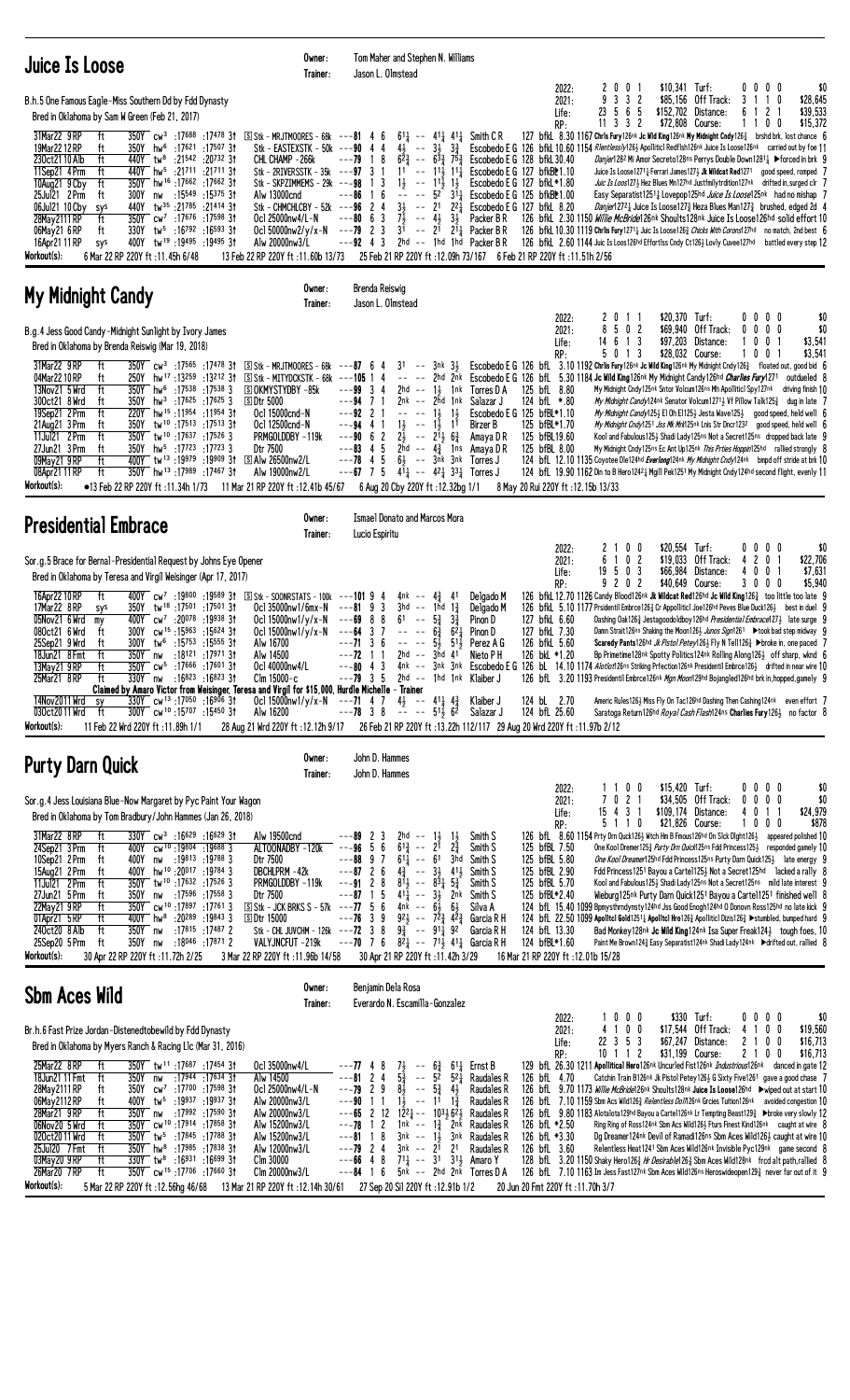| Juice Is Loose                                                                                                                                                                                                                                                                                                                                                                                                                                                                                                                                                                                                                                                                                                                                                                                                                                                                                                                                                                                     | Owner:<br>Trainer:                                                                                                                                                                                                                                                                                                                | Tom Maher and Stephen N. Williams<br>Jason L. Olmstead                                                                                                                                                                                                                                                                                                                                                                                                                                                                                                                                                                                |                                                                                                                                                                                                                                                                                                      |                                                                                               |                                                                                                                                                                                                                                                                                                                                                                                                                                                                                                                                                                                                                                                                                                                                                                                                                                                                                                                                                                                                                                                                                                                                                                                                                                 |
|----------------------------------------------------------------------------------------------------------------------------------------------------------------------------------------------------------------------------------------------------------------------------------------------------------------------------------------------------------------------------------------------------------------------------------------------------------------------------------------------------------------------------------------------------------------------------------------------------------------------------------------------------------------------------------------------------------------------------------------------------------------------------------------------------------------------------------------------------------------------------------------------------------------------------------------------------------------------------------------------------|-----------------------------------------------------------------------------------------------------------------------------------------------------------------------------------------------------------------------------------------------------------------------------------------------------------------------------------|---------------------------------------------------------------------------------------------------------------------------------------------------------------------------------------------------------------------------------------------------------------------------------------------------------------------------------------------------------------------------------------------------------------------------------------------------------------------------------------------------------------------------------------------------------------------------------------------------------------------------------------|------------------------------------------------------------------------------------------------------------------------------------------------------------------------------------------------------------------------------------------------------------------------------------------------------|-----------------------------------------------------------------------------------------------|---------------------------------------------------------------------------------------------------------------------------------------------------------------------------------------------------------------------------------------------------------------------------------------------------------------------------------------------------------------------------------------------------------------------------------------------------------------------------------------------------------------------------------------------------------------------------------------------------------------------------------------------------------------------------------------------------------------------------------------------------------------------------------------------------------------------------------------------------------------------------------------------------------------------------------------------------------------------------------------------------------------------------------------------------------------------------------------------------------------------------------------------------------------------------------------------------------------------------------|
| B.h.5 One Famous Eagle-Miss Southern Dd by Fdd Dynasty<br>Bred in Oklahoma by Sam W Green (Feb 21, 2017)<br>31Mar22 9 RP<br>350Y cw <sup>3</sup> :17 <sup>688</sup> :17478 3†<br>ft<br>19Mar2212RP<br>350Y hw <sup>6</sup> :17621 :17507 31<br>ft<br>230ct21 10 Alb<br>ft<br>440Y tw <sup>8</sup> :21542 :20732 31<br>440Y hw <sup>5</sup> :21711 :21711 3t<br>11Sep21 4Prm<br>ft<br>350Y hw <sup>16</sup> :17662:1766231<br>10Aug21 9 Cby<br>ft<br>25Ju121 2 Prm<br>ft<br>300Y<br>:15 <sup>549</sup> :15 <sup>375</sup> 31<br>nw<br>06Jul21 10 Cby<br>440Y<br>$tw^{35}$ :21785 :21414 31<br>sys<br>350Y cw <sup>7</sup> :17676 :17598 31<br>28May 2111 RP<br>ft<br>330Y tw <sup>5</sup> :16792 :16593 31<br>06May21 6 RP<br>ft<br>16Apr21 11 RP<br>400Y tw <sup>19</sup> :19495:1949531<br>sys<br>Workout(s):<br>6 Mar 22 RP 220Y ft :11.45h 6/48                                                                                                                                                 | $S$ Stk - MRJTMOORES - 68k ---81 4 6<br>Stk - EASTEXSTK - 50k ---90 4 4<br>CHL CHAMP -266k<br>Stk - 2RIVERSSTK - $35k$ --- $97$ 3 1<br>Stk - SKPZIMMEMS - 29k ---98 1 3<br>Alw 13000cnd<br>Stk - CHMCHLCBY - $52k$ --- $96$ 2 4<br>Ocl 25000nw4/L-N<br>Ocl 50000nw2/y/x-N<br>Alw 20000nw3/L<br>13 Feb 22 RP 220Y ft: 11.60b 13/73 | $6^{11}$ -- $4^{11}$ $4^{11}$ Smith CR<br>$4\frac{1}{2}$ -- $3\frac{1}{2}$ $3\frac{3}{4}$<br>$---79$ 1 8<br>$6^{2}\frac{3}{4}$<br>$- - 6^{3}$ $\frac{3}{4}$ 75 <sup>3</sup><br>11<br>$--$ 11 $\frac{1}{2}$ 11 $\frac{1}{4}$<br>$1\frac{1}{2}$<br>$- 11\frac{1}{2}$ $1\frac{1}{2}$<br>6<br>$--$ 52 $31\frac{1}{4}$<br>---86<br>$\overline{1}$<br>$\sim$ $-$<br>$3\frac{1}{2}$ -- $2^{1}$ $2^{2}\frac{1}{4}$<br>$-- 4\frac{1}{2}$ 3}<br>$---80$ 6 3<br>71<br>$---79$ 2 3<br>$3^{\overline{1}}$ -- $2^{\overline{1}}$ $2^{\overline{1}}$ Packer B R<br>2hd -- 1hd 1hd Packer BR<br>$---92$ 4 3                                           | 2022:<br>2021:<br>Life:<br>RP:<br>Escobedo E G 128 bfkL 30.40<br>Escobedo E G 127 bfkBt1.10<br>Escobedo E G $127$ bfkL $*1.80$<br>Escobedo E G 125 bfkB*1.00<br>Escobedo E G 127 bfkL 8.20<br>Packer B R<br>25 Feb 21 RP 220Y ft : 12.09h 73/167 6 Feb 21 RP 220Y ft : 11.51h 2/56                   | $$10,341$ Turf:<br>2001<br>9<br>$3 \t3 \t2$<br>5 6 5<br>23<br>$11$ 3 3 2<br>\$72,808 Course:  | \$0<br>0000<br>\$85,156 Off Track:<br>3 1 1 0<br>\$28,645<br>\$39,533<br>\$152,702 Distance:<br>6<br>$\mathbf{2}$<br>1100<br>\$15,372<br>127 bfkl. 8.30 1167 Chris Fury126nk Jc Wid King126nk My Midnight Cndy1263 brshd brk, lost chance 6<br>Escobedo E G 126 bfkl 10.60 1154 Rientlessly126} Apollitici Redfish126nk Juice Is Loose126nk carried out by foe 11<br><i>Danjer</i> 128 <sup>2</sup> Mi Amor Secreto128ns Perrys Double Down12811 ▶ Forced in brk 9<br>Juice Is Loose1271 <sup>1</sup> Ferrari James127 <sup>3</sup> Jk Wildcat Red1271 good speed, romped 7<br>Juic Is Loos127} Hez Blues Mn127hd Justfmilytrdition127nk drifted in, surged clr 7<br>Easy Separatist1251 <sub>4</sub> Lovepop125hd <i>Juice Is Loose</i> 125nk had no mishap 7<br><i>Danjer</i> 1272 $\frac{1}{4}$ Juice Is Loose127 $\frac{3}{4}$ Heza Blues Man127 $\frac{3}{4}$ brushed, edged 2d 4<br>126 bfkL 2.30 1150 <i>Willie McBride</i> 126nk Shoults128nk Juice Is Loose126hd solid effort 10<br>126 bfkL 10.30 1119 Chrlis Fury 1271 <sub>4</sub> Juic Is Loose 126 <sub>4</sub> Chicks With Corons127hd no match, 2nd best 6<br>126 bfkl 2.60 1144 Juic Is Loos126hd Effortlss Cndy Ct126} Lovly Cuvee127hd battled every step 12 |
| My Midnight Candy                                                                                                                                                                                                                                                                                                                                                                                                                                                                                                                                                                                                                                                                                                                                                                                                                                                                                                                                                                                  | Owner:<br>Trainer:                                                                                                                                                                                                                                                                                                                | Brenda Reiswig<br>Jason L. Olmstead                                                                                                                                                                                                                                                                                                                                                                                                                                                                                                                                                                                                   |                                                                                                                                                                                                                                                                                                      |                                                                                               |                                                                                                                                                                                                                                                                                                                                                                                                                                                                                                                                                                                                                                                                                                                                                                                                                                                                                                                                                                                                                                                                                                                                                                                                                                 |
| B.g.4 Jess Good Candy-Midnight Sunlight by Ivory James<br>Bred in Oklahoma by Brenda Reiswig (Mar 19, 2018)<br>31Mar22 9 RP<br>ft<br>350Y cw <sup>3</sup> :17565 :17478 31<br>04Mar 22 10 RP<br>250Y hw <sup>17</sup> :13 <sup>259</sup> :13 <sup>212</sup> 31<br>ft<br>13Nov21 5 Wrd<br>ft<br>350Y hw <sup>6</sup> :17538 :17538 3<br>300ct21 8 Wrd<br>$350Y$ hw <sup>3</sup> :17625 :17625 3<br>ft<br>19Sep21 2 Prm<br>ft<br>220Y hw <sup>15</sup> :11954 :11954 31<br>350Y tw <sup>10</sup> :17513 :17513 31<br>21Aug21 3 Prm<br>ft<br>11Jul21 2 Prm<br>ft<br>350Y tw <sup>10</sup> :17637:17526 3<br>27Jun21 3 Prm<br>350Y hw <sup>5</sup> :17723:177233<br>ft<br>400Y tw <sup>13</sup> :19979:19909 3t<br>ft<br>09May21 9 RP<br>ft<br>350Y hw <sup>13</sup> :17989 :17467 31<br>08Apr21 11 RP<br>Workout(s):<br>$\bullet$ 13 Feb 22 RP 220Y ft :11.34h 1/73                                                                                                                                   | $S$ Stk - MRJTMOORES - 68k ---87 6 4<br>S Stk - MITYDCKSTK - 68k<br><b>SOKMYSTYDBY-85k</b><br>5Dtr 5000<br>Ocl 15000cnd-N<br>Ocl 12500cnd-N<br>PRMGOLDDBY-119k<br>Dtr 7500<br>$\boxdot$ Alw 26500nw2/L<br>Alw 19000nw2/L<br>11 Mar 21 RP 220Y ft : 12.41b 45/67                                                                   | $31 - - 3nk$ $3\frac{1}{2}$<br>$---105$ 1 4<br>$---99334$<br>2hd -- $1\frac{1}{2}$ 1nk Torres D A<br>$--94$ 7 1<br>2nk -- 2hd 1nk<br>$---92$ 2 1<br>$1\frac{1}{2}$<br>$1\frac{1}{2}$<br>$1\frac{1}{2}$ -- $1\frac{1}{2}$<br>$---94$ 4 1<br>11<br>$---90 6 2$<br>$2\frac{1}{2}$ -- $21\frac{1}{2}$ $6\frac{3}{4}$<br>5<br>$---83$ 4<br>2hd -- $4\frac{3}{4}$ 1 ns Amaya DR<br>$6\frac{1}{2}$ -- $3nk$ $3nk$<br>---78 4<br>5<br>$---67$ 7 5 41 $\frac{1}{4}$ $---$ 42 $\frac{1}{4}$ 33 $\frac{1}{4}$ Torres J<br>6 Aug 20 Cby 220Y ft: 12.32bg 1/1                                                                                      | 2022:<br>2021:<br>Life:<br>RP:<br>125 bfL 8.80<br>Salazar J<br>124 bfL *.80<br>Escobedo E G 125 bfBL*1.10<br>125 bfBL*1.70<br>Birzer B<br>125 bfBL19.60<br>Amaya D R<br>125 bfBL 8.00<br>Torres J<br>8 May 20 Rui 220Y ft: 12.15b 13/33                                                              | \$20,370 Turf:<br>2<br>0<br>-1-1<br>8<br>5 0 2<br>14 6 1 3<br>5 0 1 3<br>\$28,032 Course:     | \$0<br>0000<br>\$69,940 Off Track:<br>\$0<br>0<br>$0\,$ $0\,$ $0\,$<br>\$97,203 Distance:<br>$0 \t0 \t1$<br>\$3,541<br>1<br>\$3,541<br>1001<br>Escobedo E G 126 bfL 3.10 1192 Chrlis Fury126nk Jc Wild King126nk My Midnight Cndy126 $\frac{3}{4}$ floated out, good bid 6<br>-- -- 2hd 2nk Escobedo E G 126 bfl 5.30 1184 Jc Wild King126nk My Midnight Candy126hd Charlies Fury1271 outdueled 8<br>My Midnight Cndy 125nk Sntor Volcum126ns Mh Apolliticl Spy127nk driving finish 10<br>My Midnight Candy124nk Senator Volcum12713 Vf Pillow Talk1253 dug in late 7<br>My Midnight Candy125} El Oh E1125} Jesta Wave125} good speed, held well 6<br>My Midnight Cndy1251 Jss Mk Mrk125nk Lnis Str Dncr1232 good speed, held well 6<br>Kool and Fabulous125} Shadi Lady125ns Not a Secret125ns dropped back late 9<br>My Midnight Cndy 125ns Ec Ant Up125nk This Prties Hoppin125hd rallied strongly 8<br>124 bfl 12.10 1135 Coyotee Dle124hd Everlang124nk My Midnight Cndy124nk bmpd off stride at brk 10<br>124 bfL 19.90 1162 Din to B Hero12421 Mgill Pek1251 My Midnight Cndy124hd second flight, evenly 11                                                                                                              |
| <b>Presidential Embrace</b>                                                                                                                                                                                                                                                                                                                                                                                                                                                                                                                                                                                                                                                                                                                                                                                                                                                                                                                                                                        | Owner:<br>Trainer:                                                                                                                                                                                                                                                                                                                | <b>Ismael Donato and Marcos Mora</b><br>Lucio Espiritu                                                                                                                                                                                                                                                                                                                                                                                                                                                                                                                                                                                |                                                                                                                                                                                                                                                                                                      |                                                                                               |                                                                                                                                                                                                                                                                                                                                                                                                                                                                                                                                                                                                                                                                                                                                                                                                                                                                                                                                                                                                                                                                                                                                                                                                                                 |
| Sor.g.5 Brace for Bernal-Presidential Request by Johns Eye Opener<br>Bred in Oklahoma by Teresa and Virgil Weisinger (Apr 17, 2017)<br>16Apr22 10 RP<br>ft<br>400Y cw <sup>7</sup> :19800 :19589 31 SStk - SOONRSTATS - 100k ---101 9 4<br>350Y tw <sup>18</sup> :17501 :17501 3t<br>17Mar22 8RP<br>sys<br>05Nov21 6 Wrd<br>400Y cw <sup>7</sup> :20 <sup>078</sup> :19 <sup>938</sup> 31<br>my<br>300Y cw <sup>15</sup> :15963 :15624 31<br>080ct21 6 Wrd<br>ft<br>300Y tw <sup>6</sup> :15753 :15555 31<br>25Sep21 9 Wrd<br>ft<br>18Jun21 8 Fmt<br>ft<br>350Y nw :18121 :17971 3t<br>350Y cw <sup>5</sup> :17666 :17601 31<br>13May21 9 RP<br>ft<br>330Y nw :16823 :16823 31<br>25Mar21 8RP<br>ft<br>Claimed by Amaro Victor from Weisinger, Teresa and Virgil for \$15,000, Hurdle Michelle - Trainer<br>14Nov2011 Wrd<br>$330Y$ cw <sup>13</sup> :17050 :16906 31<br>sy<br>030ct20 11 Wrd<br>300Y cw <sup>10</sup> :15707 :15450 31<br>ft<br>Workout(s):<br>11 Feb 22 Wrd 220Y ft : 11.89h 1/1 | Ocl 35000nw1/6mx-N $--81$ 9 3<br>Ocl $15000$ nw $1/y/x - N$<br>Ocl $15000$ nw $1/y/x - N$<br>Alw 16700<br>Alw 14500<br>Oc1 40000nw4/L<br>Clm 15000-c<br>Alw 16200                                                                                                                                                                 | 4nk -- 4 $\frac{3}{4}$ 41<br>$3hd$ -- 1hd $1\frac{3}{7}$<br>$---69$ 8 8<br>$3\frac{3}{4}$<br>61<br>$\sim$ $-$<br>$5\frac{3}{7}$<br>$6^{2}$<br>$--64$ 3 7<br>$6\frac{3}{4}$<br>$---71$ 3 6<br>$51\frac{1}{2}$<br>$\begin{array}{ccc} - & - & - \end{array}$<br>54<br>$2hd - 3hd 41$<br>$---72$ 1 1<br>$---79$ 3 5 2hd $---$ 1hd 1nk Klaiber J<br>Ocl 15000nw1/y/x-N ---71 4 7 4 $\frac{1}{2}$ -- 41 $\frac{1}{4}$ 4 $\frac{3}{4}$<br>$---78$ 3 8 -- -- 51 $\frac{1}{2}$ 62<br>2012 20 Aug 21 Wrd 220Y ft :12.12h 9/17 26 Feb 21 RP 220Y ft :13.22h 112/117 29 Aug 20 Wrd 220Y ft :11.97b 2/12                                          | 2022:<br>2021:<br>Life:<br>RP:<br>Delgado M<br>Delgado M<br>Pinon D<br>127 bfkL 6.60<br>127 bfkL 7.30<br>Pinon D<br>126 bfkL 5.60<br>Perez A G<br>Nieto P H<br>126 bkL *1.20<br>Klaiber J<br>124 bL 2.70<br>Salazar J<br>124 bfL 25.60                                                               | 2 1 0 0<br>\$20,554 Turf:<br>6<br>0 <sub>2</sub><br>\$19,033<br>$\mathbf{1}$<br>19503<br>9202 | 0000<br>\$0<br>Off Track:<br>4 2<br>\$22,706<br>0 <sub>1</sub><br>\$66,984 Distance:<br>4001<br>\$7,631<br>\$40,649 Course:<br>3000<br>\$5,940<br>126 bfkL 12.70 1126 Candy Blood126nk Jk Wildcat Red126hd Jc Wild King1263 too little too late 9<br>126 bfkL 5.10 1177 Prsidentil Embrce1263 Cr Appollitic1 Joe126hd Peves Blue Duck1263 best in duel 9<br>Dashing Oak1263 Jestagoodoldboy126hd Presidential Embrace1273 late surge 9<br>Damn Strait126ns Shaking the Moon126} Junos Sign1261 ▶took bad step midway 9<br>Scaredy Pants126hd <i>Jk Pistol Petey</i> 1263 Fly N Tell1263 ▶broke in, one paced 7<br>Bp Primetime128nk Spotty Politics124nk Rolling Along1263 off sharp, wknd 6<br>---80 4 3 4nk -- 3nk 3nk Escobedo E G 126 bl. 14.10 1174 Alotlot126ns Striking Prfection126nk Presidentil Embrce1261 drifted in near wire 10<br>126 bfl. 3.20 1193 Presidentil Embrce126nk Mgn Moon129hd Bojangled126hd brk in, hopped, gamely 9<br>Americ Rules1263 Miss Fly On Tac126hd Dashing Then Cashing124nk even effort 7<br>Saratoga Return126hd Royal Cash Flash124ns Charlies Fury1261 no factor 8                                                                                                                   |
| <b>Purty Darn Quick</b>                                                                                                                                                                                                                                                                                                                                                                                                                                                                                                                                                                                                                                                                                                                                                                                                                                                                                                                                                                            | Owner:<br>Trainer:                                                                                                                                                                                                                                                                                                                | John D. Hammes<br>John D. Hammes                                                                                                                                                                                                                                                                                                                                                                                                                                                                                                                                                                                                      |                                                                                                                                                                                                                                                                                                      |                                                                                               |                                                                                                                                                                                                                                                                                                                                                                                                                                                                                                                                                                                                                                                                                                                                                                                                                                                                                                                                                                                                                                                                                                                                                                                                                                 |
| Sor.g.4 Jess Louisiana Blue-Now Margaret by Pyc Paint Your Wagon<br>Bred in Oklahoma by Tom Bradbury/John Hammes (Jan 26, 2018)<br>330Y cw <sup>3</sup> :16629 :16629 31<br>31Mar22 8 RP<br>ft<br>24Sep21 3 Prm<br>ft<br>400Y cw <sup>10</sup> :19804:196883<br>10Sep21 2 Prm<br>400Y nw :19813 :19788 3<br>ft<br>15Aug21 2 Prm<br>400Y hw <sup>10</sup> :20017:19784 3<br>ft<br>350Y tw <sup>10</sup> :17632 :17526 3<br>11Jul21 2Prm<br>ft<br>:17596 :17558 3<br>27Jun21 5 Prm<br>ft<br>350Y nw<br>350Y cw <sup>10</sup> :17897 :17761 3<br>22May21 9 RP<br>ft<br>01Apr21 5 RP<br>400Y hw <sup>8</sup> :20289 :19843 3<br>ft<br>240ct20 8 Alb<br>ft<br>350Y nw<br>:17815 :17487 2<br>25Sep20 5 Prm<br>350Y nw<br>:18046 :17871 2<br>ft<br>Workout(s):<br>30 Apr 22 RP 220Y ft:11.72h 2/25                                                                                                                                                                                                        | Alw 19500cnd<br>ALTOONADBY -120k<br>Dtr 7500<br>DBCHLPRM -42k<br>PRMGOLDDBY-119k<br>Dtr 7500<br>$\boxed{S}$ Stk - JCK BRKS S - 57k ---77 5 6<br><b>SDtr 15000</b><br>Stk - CHL JUVCHM - 126k ---72 3 8<br>VALYJNCFUT -219k<br>3 Mar 22 RP 220Y ft: 11.96b 14/58                                                                   | $---89$ 2 3<br>2hd -- $1\frac{1}{2}$<br>$1\frac{1}{2}$<br>$2\frac{3}{4}$<br>$---96$ 5 6<br>$6^{13}$ -- $2^{1}$<br>$---88997$<br>$61\frac{1}{4}$ -- 61<br>3hd<br>$---87$ 2 6<br>$4\frac{3}{4}$ -- $3\frac{1}{2}$ $41\frac{1}{2}$<br>$---91 2 8$<br>$81\frac{1}{2}$ -- $83\frac{1}{4}$ $5\frac{3}{4}$<br>$---87$ 1 5<br>$41\frac{1}{4}$ -- $3\frac{1}{2}$ 2nk<br>4nk -- 61, 61,<br>$---76$ 3 9<br>$92\frac{1}{2}$ -- $7\frac{2}{3}$ $4\frac{2}{3}$<br>$9\frac{3}{4}$ -- $91\frac{1}{4}$ 92<br>---70 7 6 $8^{2}$ <sub>4</sub> -- 7 <sup>1</sup> <sub>2</sub> 4 <sup>1</sup> <sub>4</sub> Garcia R H<br>30 Apr 21 RP 220Y ft: 11.42h 3/29 | 2022:<br>2021:<br>Life:<br>RP:<br>Smith S<br>125 bfBL 7.50<br>Smith S<br>125 bfBL 5.80<br>Smith S<br>125 bfBL 2.90<br>Smith S<br>125 bfBL 5.70<br>Smith S<br>125 bfBL*2.40<br>Smith S<br>Silva A<br>Garcia R H<br>124 bfL 13.30<br>Garcia R H<br>124 bfBL*1.60<br>16 Mar 21 RP 220Y ft: 12.01b 15/28 | \$15,420 Turf:<br>1 1 0 0<br>7021<br>15 4 3 1<br>5 1 1 0<br>\$21,826 Course:                  | 0000<br>\$0<br>$$34,505$ Off Track:<br>$0\ 0\ 0\ 0$<br>\$0<br>\$24,979<br>\$109,174 Distance:<br>4 0 1 1<br>1000<br>\$878<br>126 bfL 8.60 1154 Prty Drn Quck126½ Wtch Hm B Fmous126hd On Slck Dight126½ appeared polished 10<br>One Kool Dremer1253 <i>Purty Drn Quick</i> 125ns Fdd Princess1253 responded gamely 10<br>One Kool Dreamer125hd Fdd Princess125ns Purty Darn Quick1253 late energy 9<br>Fdd Princess1251 Bayou a Cartel125} Not a Secret125hd lacked a rally 8<br>Kool and Fabulous125} Shadi Lady125ns Not a Secret125ns mild late interest 9<br>Wieburg125nk Purty Darn Quick1251 Bayou a Carte11251 finished well 8<br>124 bfL 15.40 1099 Bpmysthrndynsty124hd Jss Good Enogh124hd 0 Donovn Ross125hd no late kick 9<br>124 bfl. 22.50 1099 Apolitel Gold1251 <sub>4</sub> Apolitel Hro126 $\frac{3}{4}$ Apoliiticl Dizis126 $\frac{3}{4}$ $\blacktriangleright$ stumbled, bumped hard 9<br>Bad Monkey128nk Jc Wild King124nk Isa Super Freak1243 tough foes, 10<br>Paint Me Brown1243 Easy Separatist124nk Shadi Lady124nk ▶drifted out, rallied 8                                                                                                                                                           |
| <b>Sbm Aces Wild</b>                                                                                                                                                                                                                                                                                                                                                                                                                                                                                                                                                                                                                                                                                                                                                                                                                                                                                                                                                                               | Owner:<br>Trainer:                                                                                                                                                                                                                                                                                                                | Benjamin Dela Rosa<br>Everardo N. Escamilla-Gonzalez                                                                                                                                                                                                                                                                                                                                                                                                                                                                                                                                                                                  |                                                                                                                                                                                                                                                                                                      |                                                                                               |                                                                                                                                                                                                                                                                                                                                                                                                                                                                                                                                                                                                                                                                                                                                                                                                                                                                                                                                                                                                                                                                                                                                                                                                                                 |
| Br.h.6 Fast Prize Jordan-Distenedtobewild by Fdd Dynasty<br>Bred in Oklahoma by Myers Ranch & Racing Llc (Mar 31, 2016)<br>25Mar22 8RP<br>350Y tw <sup>11</sup> :17687 :17454 31<br>ft<br>18Jun21 11 Fmt<br>ft<br>350Y<br>nw<br>:17944 :17634 3†<br>350Y cw <sup>7</sup> :17 <sup>700</sup> :17598 31<br>28May 2111 RP<br>ft<br>400Y tw <sup>5</sup> :19937 :19937 31<br>06May 2112 RP<br>ft<br>28Mar21 9RP<br>ft<br>350Y nw<br>:17 <sup>992</sup> :17 <sup>590</sup> 3†<br>06Nov20 5 Wrd<br>350Y cw <sup>10</sup> :17914 :17858 31<br>ft<br>020ct2011 Wrd<br>ft<br>350Y tw <sup>5</sup> :17845 :17788 31<br>25Jul20 7 Fmt<br>ft<br>$350Y$ hw <sup>8</sup> :17985 :17838 31<br>03May20 9RP<br>$330Y$ tw <sup>8</sup> :16931 :16699 31<br>ft<br>26Mar20 7RP<br>ft<br>350Y cw <sup>15</sup> :17706:1766031<br>Workout(s):<br>5 Mar 22 RP 220Y ft: 12.56hg 46/68                                                                                                                                      | Ocl 35000nw4/L<br>Alw 14500<br>Oc1 25000nw4/L-N<br>Alw 20000nw3/L<br>Alw 20000nw3/L<br>Alw 15200nw3/L<br>Alw 15200nw3/L<br>Alw 12000nw3/L<br>Clm 30000<br>Clm 20000nw3/L<br>13 Mar 21 RP 220Y ft : 12.14h 30/61                                                                                                                   | $---77$ 4 8<br>$7\frac{1}{2}$<br>$5\frac{3}{4}$<br>$- - 6\frac{3}{4}$<br>$---8124$<br>$\sim$ $\sim$<br>5 <sup>2</sup><br>$5^{2}$<br>$8\overline{1}$<br>$- - 5\frac{3}{4}$<br>$---79$ 2 9<br>$4\frac{1}{2}$<br>$1\overline{3}$ -- $1\overline{1}$<br>$1\frac{3}{4}$<br>$---90$ 1 1<br>$- - 65$ 2 12 $12\overline{2}^2$ $- 103\overline{3}6\overline{2}^1$<br>$---78$ 1 2 1nk $---1\frac{3}{4}$ 2nk<br>$---81$ 18<br>3nk -- 1½ 3nk<br>$---79$ 2 4<br>$3nk$ -- $2^1$ $2^1$<br>$---66$ 4 8<br>$71\frac{1}{2}$ -- 31 31 Amaro Y<br>$---84$ 1 6 $5nk$ -- 2hd $2n\bar{k}$ Torres D A<br>27 Sep 20 Sil 220Y ft: 12.91b 1/2                    | 2022:<br>2021:<br>Life:<br>RP:<br>$61\frac{1}{4}$ Ernst B<br>Raudales R<br>126 bfL 4.70<br>Raudales R<br>Raudales R<br>Raudales R<br>Raudales R<br>126 bfL *2.50<br>126 bfL *3.30<br>Raudales R<br>Raudales R<br>126 bfL 3.60<br>20 Jun 20 Fmt 220Y ft : 11.70h 3/7                                  | 1000<br>4 1 0 0<br>22 3 5 3<br>\$31,199 Course:<br>10 1 1 2                                   | \$330 Turf:<br>\$0<br>0000<br>\$17,544 Off Track:<br>4 1 0 0<br>\$19,560<br>2 1 0 0<br>$$67,247$ Distance:<br>\$16,713<br>2100<br>\$16,713<br>129 bfl. 26.30 1211 Apollitical Hero126nk Uncurled Fist126nk Industrious126nk danced in gate 12<br>Catchin Train B126nk Jk Pistol Petey1263 G Sixty Five1261 gave a good chase 7<br>126 bfl. 9.70 1173 Willie McBride126nk Shoults128nk Juice Is Loose126hd >wiped out at start 10<br>126 bfL 7.10 1159 Sbm Acs Wild1263 Relentless Doln126nk Grcies Tuition126nk avoided congestion 10<br>126 bfL 9.80 1183 Alotalota129hd Bayou a Cartel126nk Lr Tempting Beast1293 ▶broke very slowly 12<br>Ring Ring of Ross124nk Sbm Acs Wild1263 Fturs Finest Kind126nk caught at wire 8<br>Dg Dreamer124nk Devil of Ramadi126ns Sbm Aces Wild1263 caught at wire 10<br>Relentless Heat1241 Sbm Aces Wild126nk Invisible Pyc129nk game second 8<br>128 bfl. 3.20 1150 Shaky Hero1263 Hr Desirable1263 Sbm Aces Wild128nk frcd alt path, rallied 8<br>126 bfL 7.10 1163 Im Jess Fast127nk Sbm Aces Wild126ns Heroswideopen1293 never far out of it 9                                                                                                                                         |